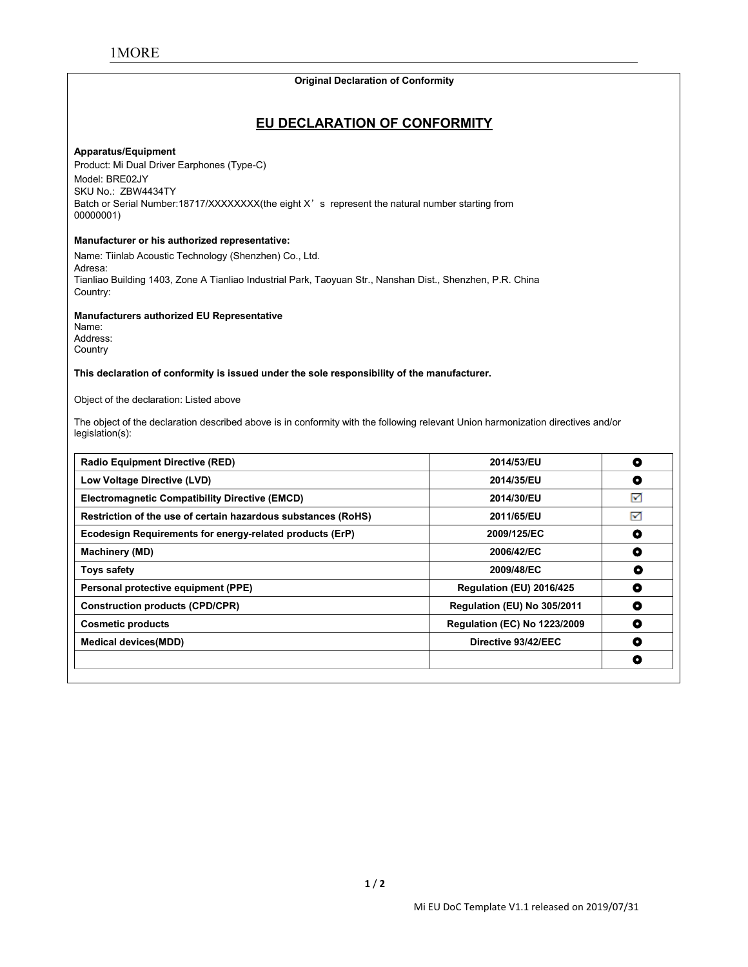# **Original Declaration of Conformity**

#### **Apparatus/Equipment**

**COMPONE CONSTRANT CONSTRANT CONSTRANT CONFORMITY**<br>
CONSTRANT CONFORM CONFORM CONSTRANT CONSTRANT CONSTRANT CONSTRANT CONSTRANT CONSTRANT OF SAMPLE CONSTRANT OF STATE OF STATE OF STATE OF STATE OF STATE OF STATE OF STATE O **EU DECLARATION**<br> **Product: Mi Dual Driver Earphones (Type-C)**<br>
Model: BRE02JY<br>
SKU No.: ZBW4434TY<br>
Batch or Serial Number:18717/XXXXXXX(the eight X's represent MORE<br>Apparatus/Equipment<br>Product: Mi Dual Driver Earphones (Type-C)<br>Model: BRE02JY<br>SKU No.: ZBW4434TY<br>Batch or Serial Number:18717/XXXXXXXX(the<br>00000001) MORE<br>
Maparatus/Equipment<br>
Product: Mi Dual Driver Earphones (Type-C)<br>
Model: BRE02JY<br>
SKU No.: ZBW4434TY<br>
Batch or Serial Number:18717/XXXXXXX(the eight<br>
00000001)<br>
Manufacturer or his authorized representative: Original Declaration of Conformity<br>
EU DECLARATION OF CONFORMITY<br>
Product: Mi Dual Driver Earphones (Type-C)<br>
Model: BRE02JY<br>
SKU No.: ZBW4434TY<br>
Batch or Serial Number:18717/XXXXXXX(the eight X's represent the natural num 00000001) **EU DECLARATIO**<br> **Apparatus/Equipment**<br>
Product: Mi Dual Driver Earphones (Type-C)<br>
Model: BRE02JY<br>
SKU No.: ZBW4434TY<br>
Batch or Serial Number:18717/XXXXXXXX(the eight X's represent<br>
00000001)<br> **Manufacturer or his authori EU DECLARATION OF CONFO**<br>
Product: Mi Dual Driver Earphones (Type-C)<br>
Model: BRE02JY<br>
SKU No.: ZBW4434TY<br>
Batch or Serial Number:18717/XXXXXXX(the eight X's represent the natural numbe<br>
00000001)<br>
Manufacturer or his auth Apparatus/Equipment<br>Product: Mi Dual Driver Earphones (Type-C)<br>Model: BRE02JY<br>SKU No.: ZBW4434TY<br>Bath or Serial Number:18717/XXXXXXXX(the eight X's represent the natural number starting from<br>00000001)<br>Manufacturer or his a

Adresa:<br>Tianliao Building 1403, Zone A Tianliao Industrial Park, Taoyuan Str., Nanshan Dist., Shenzhen, P.R. China Country: Model: BRE02JY<br>SKU No.: ZBW4434TY<br>Batch or Serial Number:18717/XXXXXXXX(the eight X's represent the<br>00000001)<br>**Manufacturer or his authorized representative:**<br>Name: Tiinlab Acoustic Technology (Shenzhen) Co., Ltd.<br>Adresa:<br> **Manufacturer or his authorized representative:**<br>
Name: Tiinlab Acoustic Technology (Shenzhen) Co., Ltd.<br>
Adresa:<br>
Thanliao Building 1403, Zone A Tianliao Industrial Park, Taoyuan Str., Nanshan Dist., Shenzhen, P.R. China<br> Name: Tiinlab Acoustic Technology (Shenzhen) Co., Ltd.<br>Adresa:<br>Tianliao Building 1403, Zone A Tianliao Industrial Park, Taoyuan S<br>Country:<br>**Manufacturers authorized EU Representative**<br>Name:<br>Address:<br>Country<br>Th**is declarati** 

Tianilao Building 1403, Zone A Tianliao Industrial Park, Taoyuan Str., Nanshan Dist., Shenzhen, P.R. China<br>Manufacturers authorized EU Representative<br>Address:<br>Name:<br>Country<br>County<br>County<br>County of the declaration of confor legislation(s):

| Name:                                                                                                                                               |                                     |           |
|-----------------------------------------------------------------------------------------------------------------------------------------------------|-------------------------------------|-----------|
| Address:<br>Country                                                                                                                                 |                                     |           |
| This declaration of conformity is issued under the sole responsibility of the manufacturer.                                                         |                                     |           |
| Object of the declaration: Listed above                                                                                                             |                                     |           |
| The object of the declaration described above is in conformity with the following relevant Union harmonization directives and/or<br>legislation(s): |                                     |           |
| <b>Radio Equipment Directive (RED)</b>                                                                                                              | 2014/53/EU                          | $\bullet$ |
| Low Voltage Directive (LVD)                                                                                                                         | 2014/35/EU                          | $\bullet$ |
| <b>Electromagnetic Compatibility Directive (EMCD)</b>                                                                                               | 2014/30/EU                          | М         |
| Restriction of the use of certain hazardous substances (RoHS)                                                                                       | 2011/65/EU                          | 罓         |
| Ecodesign Requirements for energy-related products (ErP)                                                                                            | 2009/125/EC                         | $\bullet$ |
| Machinery (MD)                                                                                                                                      | 2006/42/EC                          | $\bullet$ |
| <b>Toys safety</b>                                                                                                                                  | 2009/48/EC                          | $\bullet$ |
| Personal protective equipment (PPE)                                                                                                                 | Regulation (EU) 2016/425            | $\bullet$ |
| <b>Construction products (CPD/CPR)</b>                                                                                                              | Regulation (EU) No 305/2011         | $\bullet$ |
| <b>Cosmetic products</b>                                                                                                                            | <b>Regulation (EC) No 1223/2009</b> | $\bullet$ |
| <b>Medical devices(MDD)</b>                                                                                                                         | Directive 93/42/EEC                 | $\bullet$ |
|                                                                                                                                                     |                                     | $\bullet$ |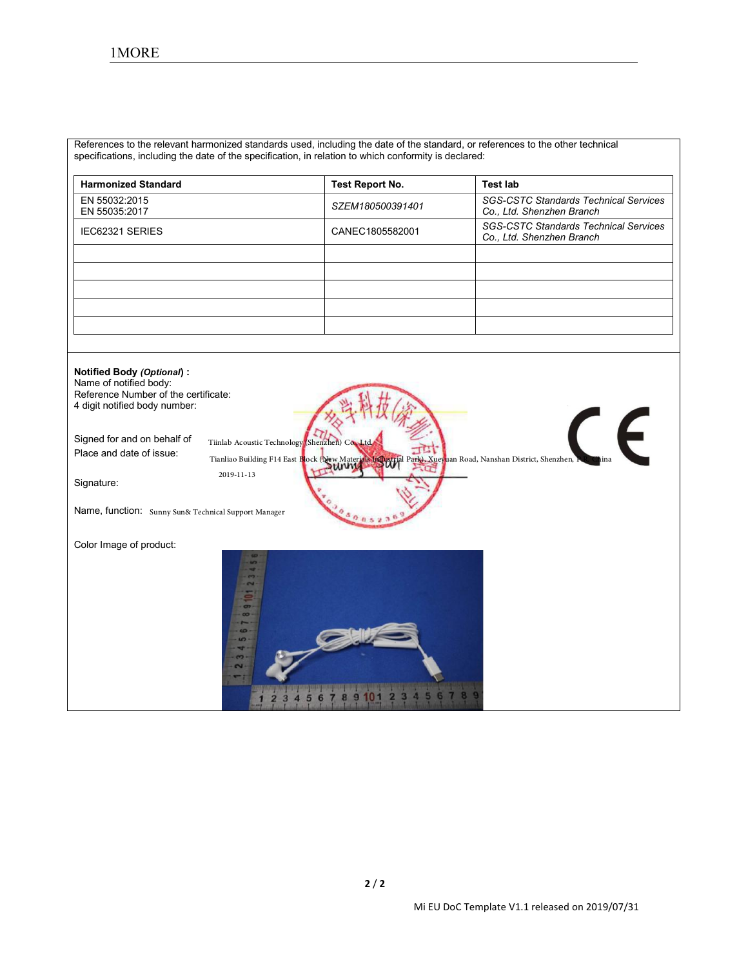| References to the relevant harmonized standards used, including the date of the standard, or references to the other technical |                        |                                                                           |
|--------------------------------------------------------------------------------------------------------------------------------|------------------------|---------------------------------------------------------------------------|
| specifications, including the date of the specification, in relation to which conformity is declared:                          |                        |                                                                           |
| <b>Harmonized Standard</b>                                                                                                     | <b>Test Report No.</b> | <b>Test lab</b>                                                           |
| EN 55032:2015<br>EN 55035:2017                                                                                                 | SZEM180500391401       | <b>SGS-CSTC Standards Technical Services</b><br>Co., Ltd. Shenzhen Branch |
| IEC62321 SERIES                                                                                                                | CANEC1805582001        | <b>SGS-CSTC Standards Technical Services</b><br>Co., Ltd. Shenzhen Branch |
|                                                                                                                                |                        |                                                                           |
|                                                                                                                                |                        |                                                                           |
|                                                                                                                                |                        |                                                                           |
|                                                                                                                                |                        |                                                                           |

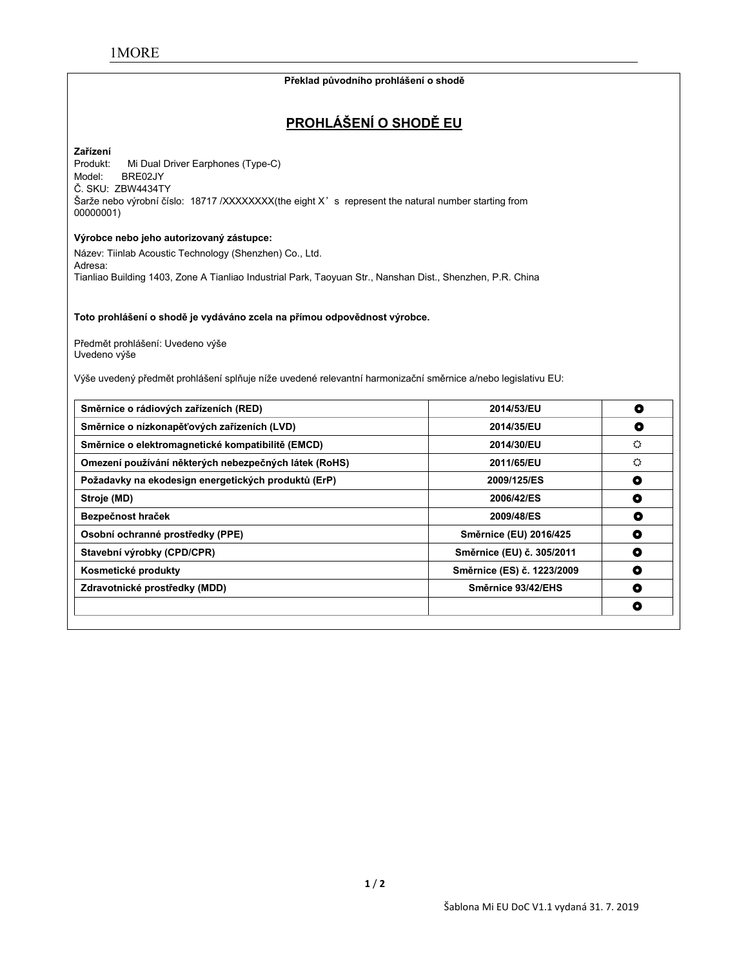#### **Překlad původního prohlášení o shodě**

# **PROHLÁŠENÍ O SHODĚ EU**

# **Zařízení**

Mi Dual Driver Earphones (Type-C) Model: BRE02JY Č. SKU: ZBW4434TY Šarže nebo výrobní číslo: 18717 /XXXXXXX(the eight X' s represent the natural number starting from 00000001)

#### **Výrobce nebo jeho autorizovaný zástupce:**

Název: Tiinlab Acoustic Technology (Shenzhen) Co., Ltd. Adresa: Tianliao Building 1403, Zone A Tianliao Industrial Park, Taoyuan Str., Nanshan Dist., Shenzhen, P.R. China

**Toto prohlášení o shodě je vydáváno zcela na přímou odpovědnost výrobce.**

Předmět prohlášení: Uvedeno výše Uvedeno výše

Výše uvedený předmět prohlášení splňuje níže uvedené relevantní harmonizační směrnice a/nebo legislativu EU:

| Směrnice o rádiových zařízeních (RED)                 | 2014/53/EU                 | O |
|-------------------------------------------------------|----------------------------|---|
| Směrnice o nízkonapěťových zařízeních (LVD)           | 2014/35/EU                 | O |
| Směrnice o elektromagnetické kompatibilitě (EMCD)     | 2014/30/EU                 | ♦ |
| Omezení používání některých nebezpečných látek (RoHS) | 2011/65/EU                 | ♦ |
| Požadavky na ekodesign energetických produktů (ErP)   | 2009/125/ES                | ۰ |
| Stroje (MD)                                           | 2006/42/ES                 | O |
| Bezpečnost hraček                                     | 2009/48/ES                 | ۰ |
| Osobní ochranné prostředky (PPE)                      | Směrnice (EU) 2016/425     | ٥ |
| Stavební výrobky (CPD/CPR)                            | Směrnice (EU) č. 305/2011  | O |
| Kosmetické produkty                                   | Směrnice (ES) č. 1223/2009 | O |
| Zdravotnické prostředky (MDD)                         | Směrnice 93/42/EHS         | O |
|                                                       |                            | o |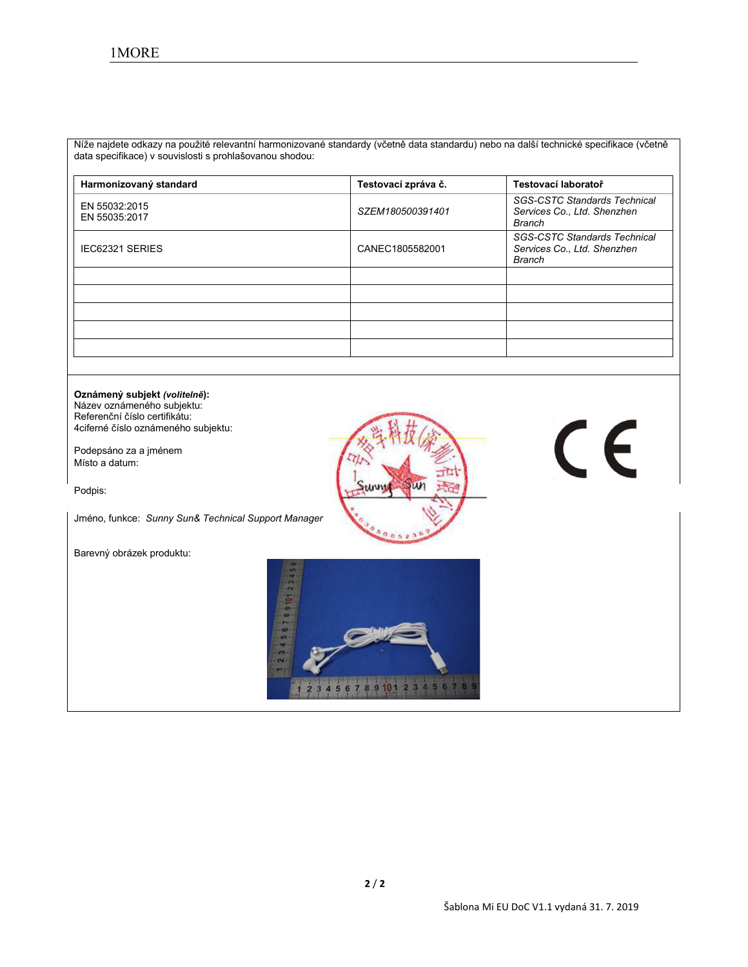Níže najdete odkazy na použité relevantní harmonizované standardy (včetně data standardu) nebo na další technické specifikace (včetně data specifikace) v souvislosti s prohlašovanou shodou:

| Harmonizovaný standard         | Testovací zpráva č. | Testovací laboratoř                                                          |
|--------------------------------|---------------------|------------------------------------------------------------------------------|
| EN 55032:2015<br>EN 55035:2017 | SZEM180500391401    | <b>SGS-CSTC Standards Technical</b><br>Services Co., Ltd. Shenzhen<br>Branch |
| IEC62321 SERIES                | CANEC1805582001     | <b>SGS-CSTC Standards Technical</b><br>Services Co., Ltd. Shenzhen<br>Branch |
|                                |                     |                                                                              |
|                                |                     |                                                                              |
|                                |                     |                                                                              |
|                                |                     |                                                                              |
|                                |                     |                                                                              |

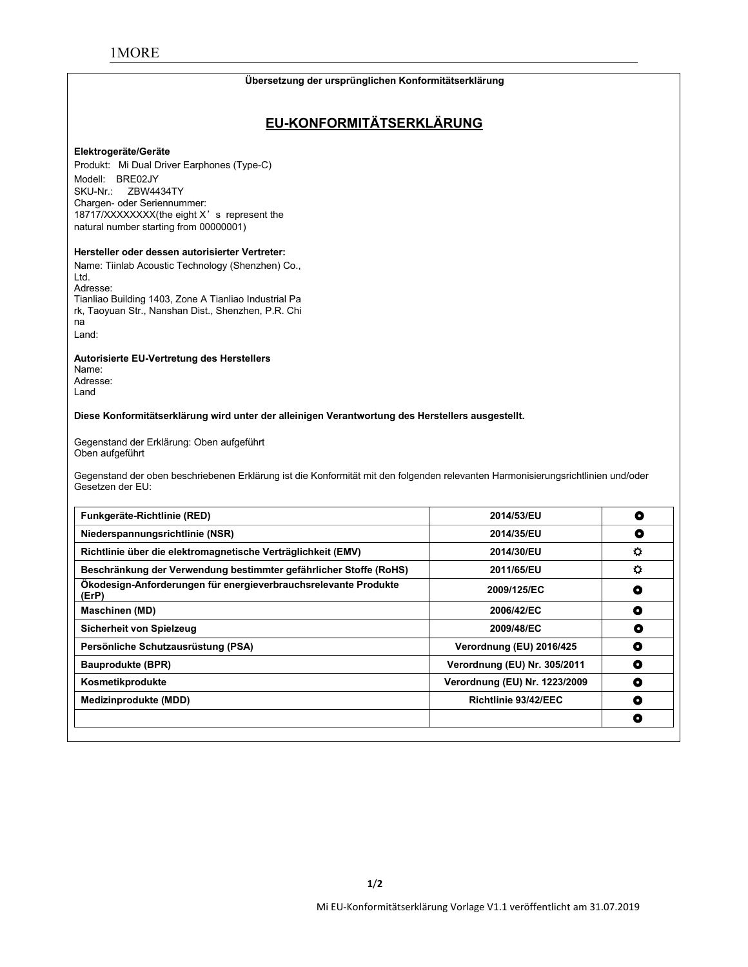#### **Übersetzung der ursprünglichen Konformitätserklärung**

# **EU-KONFORMITÄTSERKLÄRUNG**

#### **Elektrogeräte/Geräte**

Produkt: Mi Dual Driver Earphones (Type-C) Modell: BRE02JY SKU-Nr.: ZBW4434TY Chargen- oder Seriennummer: 18717/XXXXXXXX(the eight X's represent the natural number starting from 00000001)

#### **Hersteller oder dessen autorisierter Vertreter:**

Name: Tiinlab Acoustic Technology (Shenzhen) Co., Ltd. Adresse: Tianliao Building 1403, Zone A Tianliao Industrial Pa rk, Taoyuan Str., Nanshan Dist., Shenzhen, P.R. Chi na

Land:

#### **Autorisierte EU-Vertretung des Herstellers**

Name: Adresse: Land

#### **Diese Konformitätserklärung wird unter der alleinigen Verantwortung des Herstellers ausgestellt.**

Gegenstand der Erklärung: Oben aufgeführt Oben aufgeführt

Gegenstand der oben beschriebenen Erklärung ist die Konformität mit den folgenden relevanten Harmonisierungsrichtlinien und/oder<br>Gesetzen der EU:

| Funkgeräte-Richtlinie (RED)                                              | 2014/53/EU                    | O              |
|--------------------------------------------------------------------------|-------------------------------|----------------|
| Niederspannungsrichtlinie (NSR)                                          | 2014/35/EU                    | O              |
| Richtlinie über die elektromagnetische Verträglichkeit (EMV)             | 2014/30/EU                    | $\circ$        |
| Beschränkung der Verwendung bestimmter gefährlicher Stoffe (RoHS)        | 2011/65/EU                    | $\ddot{\circ}$ |
| Ökodesign-Anforderungen für energieverbrauchsrelevante Produkte<br>(ErP) | 2009/125/EC                   | О              |
| <b>Maschinen (MD)</b>                                                    | 2006/42/EC                    | $\bullet$      |
| Sicherheit von Spielzeug                                                 | 2009/48/EC                    | O              |
| Persönliche Schutzausrüstung (PSA)                                       | Verordnung (EU) 2016/425      | $\bullet$      |
| <b>Bauprodukte (BPR)</b>                                                 | Verordnung (EU) Nr. 305/2011  | $\bullet$      |
| Kosmetikprodukte                                                         | Verordnung (EU) Nr. 1223/2009 | O              |
| Medizinprodukte (MDD)                                                    | Richtlinie 93/42/EEC          | O              |
|                                                                          |                               | O              |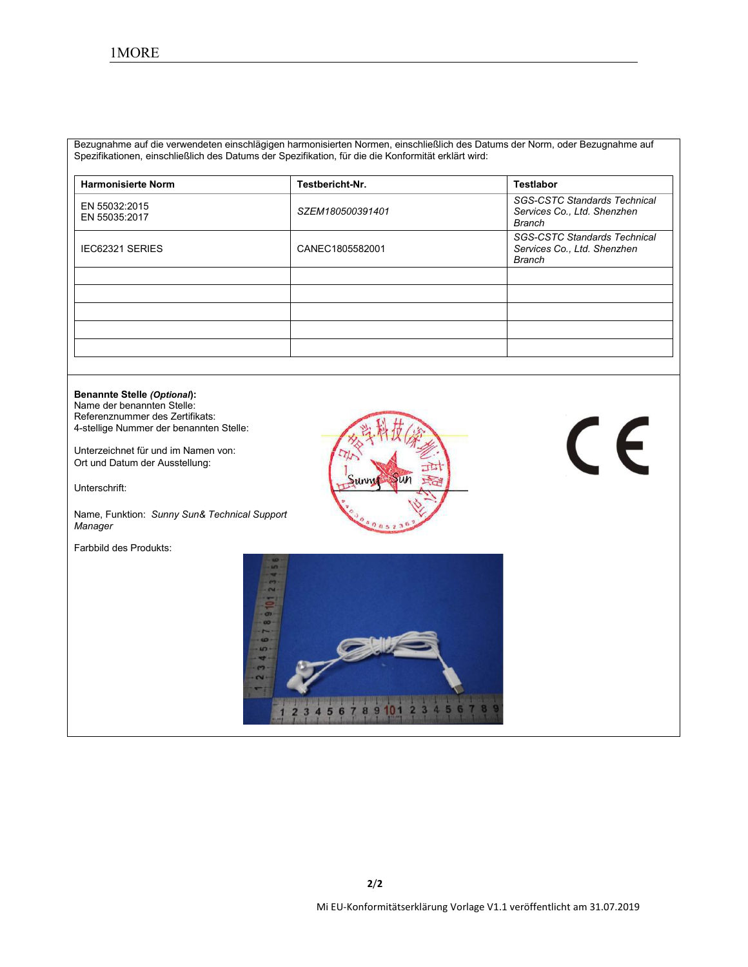Bezugnahme auf die verwendeten einschlägigen harmonisierten Normen, einschließlich des Datums der Norm, oder Bezugnahme auf Spezifikationen, einschließlich des Datums der Spezifikation, für die die Konformität erklärt wird:

| <b>Harmonisierte Norm</b>      | Testbericht-Nr.  | <b>Testlabor</b>                                                             |
|--------------------------------|------------------|------------------------------------------------------------------------------|
| EN 55032:2015<br>EN 55035:2017 | SZEM180500391401 | <b>SGS-CSTC Standards Technical</b><br>Services Co., Ltd. Shenzhen<br>Branch |
| <b>IEC62321 SERIES</b>         | CANEC1805582001  | <b>SGS-CSTC Standards Technical</b><br>Services Co., Ltd. Shenzhen<br>Branch |
|                                |                  |                                                                              |
|                                |                  |                                                                              |
|                                |                  |                                                                              |
|                                |                  |                                                                              |
|                                |                  |                                                                              |

# **Benannte Stelle** *(Optional***):** Name der benannten Stelle: Referenznummer des Zertifikats: CE 4-stellige Nummer der benannten Stelle: Unterzeichnet für und im Namen von: Ort und Datum der Ausstellung: Unterschrift: Name, Funktion: *Sunny Sun& Technical Support Manager* Farbbild des Produkts: $\mathbf{q}$ 10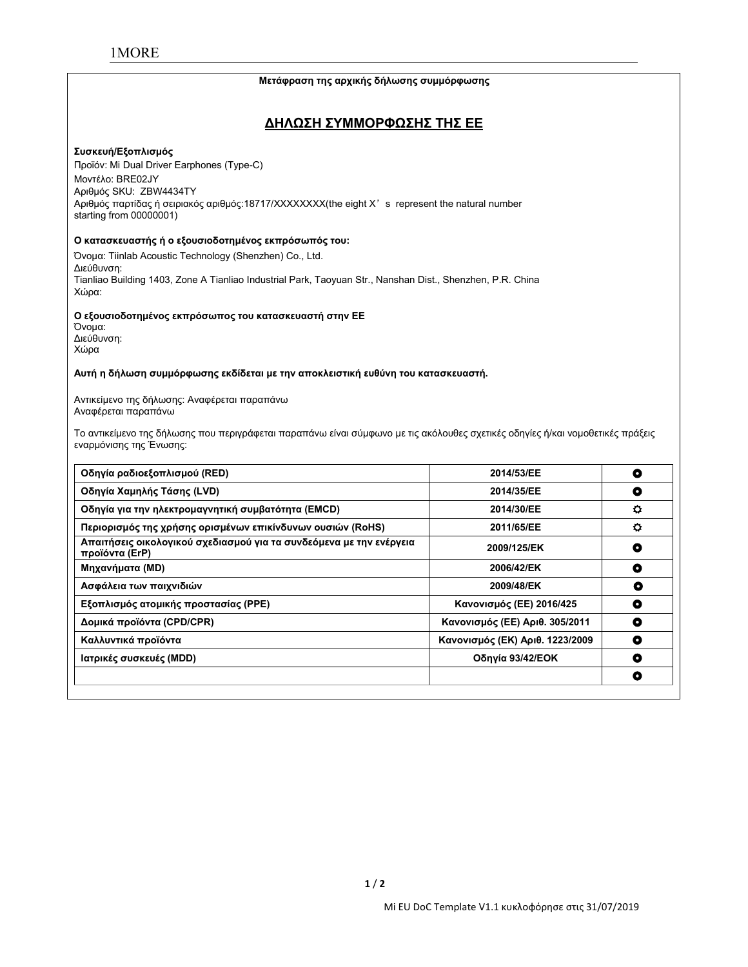#### **Μετάφραση της αρχικής δήλωσης συμμόρφωσης**

### **ΔΗΛΩΣΗ ΣΥΜΜΟΡΦΩΣΗΣ ΤΗΣ ΕΕ**

#### **Συσκευή/Εξοπλισμός**

Προϊόν: Mi Dual Driver Earphones (Type-C) Μοντέλο: BRE02JY Αριθμός SKU: ZBW4434TY Αριθμός παρτίδας ή σειριακός αριθμός:18717/XXXXXXXX(the eight X's represent the natural number starting from 00000001)

#### **Ο κατασκευαστής ή ο εξουσιοδοτημένος εκπρόσωπός του:**

Όνομα: Tiinlab Acoustic Technology (Shenzhen) Co., Ltd. Διεύθυνση: Tianliao Building 1403, Zone A Tianliao Industrial Park, Taoyuan Str., Nanshan Dist., Shenzhen, P.R. China Χώρα:

#### **Ο εξουσιοδοτημένος εκπρόσωπος του κατασκευαστή στην ΕΕ**

Όνομα: Διεύθυνση: Χώρα

#### **Αυτή η δήλωση συμμόρφωσης εκδίδεται με την αποκλειστική ευθύνη του κατασκευαστή.**

Αντικείμενο της δήλωσης: Αναφέρεται παραπάνω Αναφέρεται παραπάνω

Το αντικείμενο της δήλωσης που περιγράφεται παραπάνω είναι σύμφωνο με τις ακόλουθες σχετικές οδηγίες ή/και νομοθετικές πράξεις εναρμόνισης της Ένωσης:

| Οδηγία ραδιοεξοπλισμού (RED)                                                          | 2014/53/EE                      | $\bullet$ |
|---------------------------------------------------------------------------------------|---------------------------------|-----------|
| Οδηγία Χαμηλής Τάσης (LVD)                                                            | 2014/35/EE                      | ۰         |
| Οδηγία για την ηλεκτρομαγνητική συμβατότητα (EMCD)                                    | 2014/30/EE                      | o         |
| Περιορισμός της χρήσης ορισμένων επικίνδυνων ουσιών (RoHS)                            | 2011/65/EE                      | $\bullet$ |
| Απαιτήσεις οικολογικού σχεδιασμού για τα συνδεόμενα με την ενέργεια<br>προϊόντα (ErP) | 2009/125/EK                     | O         |
| Μηχανήματα (MD)                                                                       | 2006/42/EK                      | ٥         |
| Ασφάλεια των παιχνιδιών                                                               | 2009/48/EK                      | O         |
| Εξοπλισμός ατομικής προστασίας (PPE)                                                  | Κανονισμός (ΕΕ) 2016/425        | O         |
| Δομικά προϊόντα (CPD/CPR)                                                             | Κανονισμός (ΕΕ) Αριθ. 305/2011  | O         |
| Καλλυντικά προϊόντα                                                                   | Κανονισμός (ΕΚ) Αριθ. 1223/2009 | O         |
| Ιατρικές συσκευές (MDD)                                                               | Οδηγία 93/42/ΕΟΚ                | ٥         |
|                                                                                       |                                 | O         |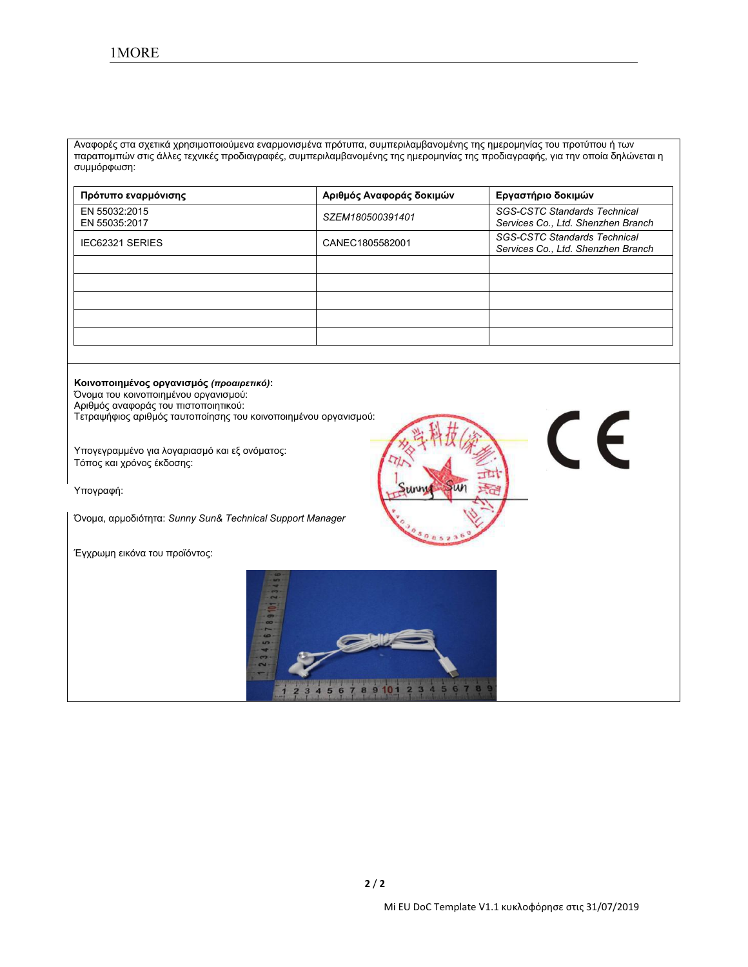Αναφορές στα σχετικά χρησιμοποιούμενα εναρμονισμένα πρότυπα, συμπεριλαμβανομένης της ημερομηνίας του προτύπου ή των παραπομπών στις άλλες τεχνικές προδιαγραφές, συμπεριλαμβανομένης της ημερομηνίας της προδιαγραφής, για την οποία δηλώνεται η συμμόρφωση:

| Πρότυπο εναρμόνισης            | Αριθμός Αναφοράς δοκιμών | Εργαστήριο δοκιμών                                                        |
|--------------------------------|--------------------------|---------------------------------------------------------------------------|
| EN 55032:2015<br>EN 55035:2017 | SZEM180500391401         | <b>SGS-CSTC Standards Technical</b><br>Services Co., Ltd. Shenzhen Branch |
| <b>IEC62321 SERIES</b>         | CANEC1805582001          | <b>SGS-CSTC Standards Technical</b><br>Services Co., Ltd. Shenzhen Branch |
|                                |                          |                                                                           |
|                                |                          |                                                                           |
|                                |                          |                                                                           |
|                                |                          |                                                                           |
|                                |                          |                                                                           |

**Κοινοποιημένος οργανισμός** *(προαιρετικό)***:** Όνομα του κοινοποιημένου οργανισμού: Αριθμός αναφοράς του πιστοποιητικού: Τετραψήφιος αριθμός ταυτοποίησης του κοινοποιημένου οργανισμού:

Υπογεγραμμένο για λογαριασμό και εξ ονόματος: Τόπος και χρόνος έκδοσης:

Υπογραφή:

Όνομα, αρμοδιότητα: *Sunny Sun& Technical Support Manager*

Έγχρωμη εικόνα του προϊόντος:



 $C<sub>6</sub>$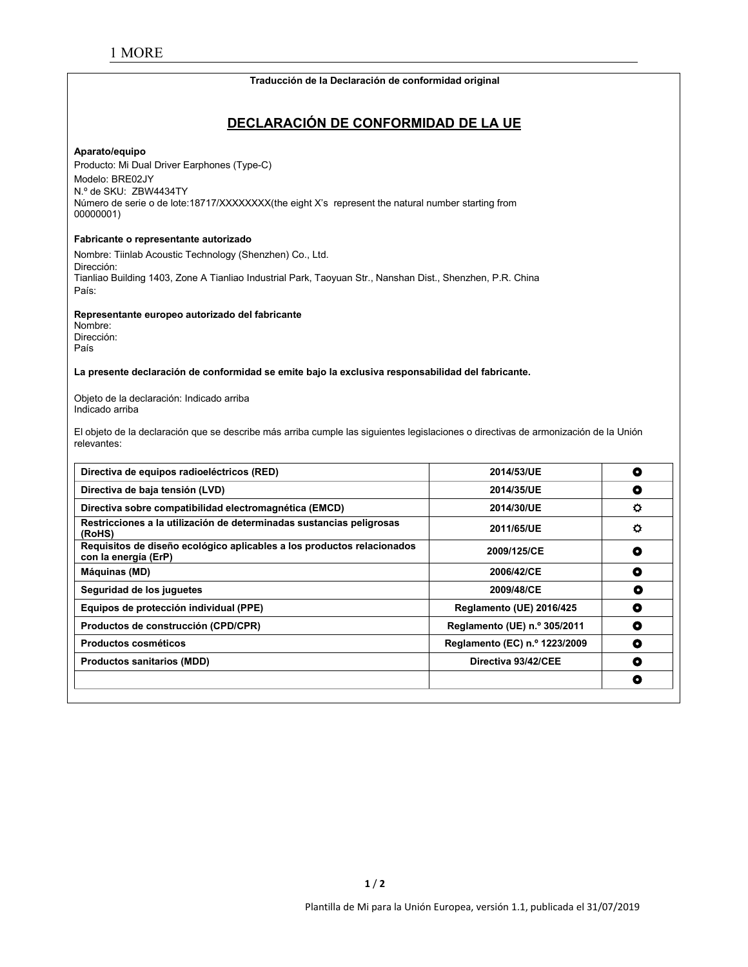#### **Traducción de la Declaración de conformidad original**

# **DECLARACIÓN DE CONFORMIDAD DE LA UE**

#### **Aparato/equipo**

Producto: Mi Dual Driver Earphones (Type-C) Modelo: BRE02JY N.º de SKU: ZBW4434TY Número de serie o de lote:18717/XXXXXXX(the eight X's represent the natural number starting from 00000001)

#### **Fabricante o representante autorizado**

Nombre: Tiinlab Acoustic Technology (Shenzhen) Co., Ltd. Dirección: Tianliao Building 1403, Zone A Tianliao Industrial Park, Taoyuan Str., Nanshan Dist., Shenzhen, P.R. China País:

**Representante europeo autorizado del fabricante**

Nombre: Dirección: País

**La presente declaración de conformidad se emite bajo laexclusiva responsabilidad del fabricante.**

Objeto de la declaración: Indicado arriba Indicado arriba

El objeto de la declaración que se describe más arriba cumple las siguientes legislaciones o directivas de armonización de la Unión relevantes:

| Directiva de equipos radioeléctricos (RED)                                                     | 2014/53/UE                    | O       |
|------------------------------------------------------------------------------------------------|-------------------------------|---------|
| Directiva de baja tensión (LVD)                                                                | 2014/35/UE                    | ٥       |
| Directiva sobre compatibilidad electromagnética (EMCD)                                         | 2014/30/UE                    | $\circ$ |
| Restricciones a la utilización de determinadas sustancias peligrosas<br>(RoHS)                 | 2011/65/UE                    | ٥       |
| Requisitos de diseño ecológico aplicables a los productos relacionados<br>con la energía (ErP) | 2009/125/CE                   | O       |
| Máquinas (MD)                                                                                  | 2006/42/CE                    | ٥       |
| Seguridad de los juguetes                                                                      | 2009/48/CE                    | O       |
| Equipos de protección individual (PPE)                                                         | Reglamento (UE) 2016/425      | O       |
| Productos de construcción (CPD/CPR)                                                            | Reglamento (UE) n.º 305/2011  | ۰       |
| Productos cosméticos                                                                           | Reglamento (EC) n.º 1223/2009 | ۰       |
| <b>Productos sanitarios (MDD)</b>                                                              | Directiva 93/42/CEE           | ٥       |
|                                                                                                |                               | O       |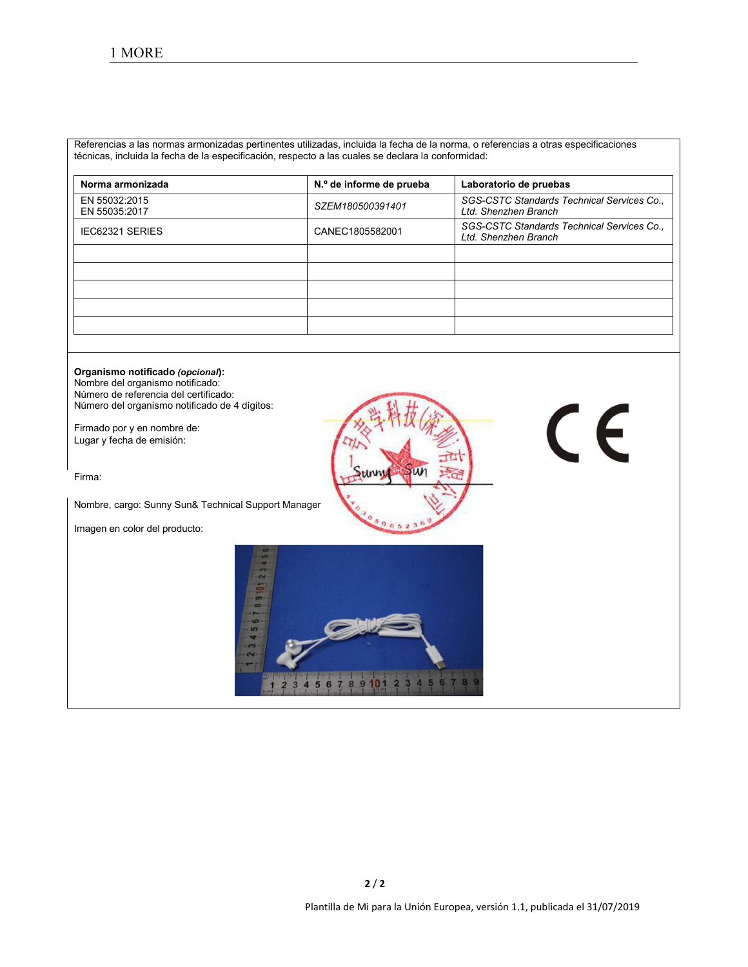Referencias a las normas armonizadas pertinentes utilizadas, incluida la fecha de la norma, o referencias a otras especificaciones técnicas, incluida la fecha de la especificación, respecto a las cuales se declara la conformidad:

| Norma armonizada               | N.º de informe de prueba | Laboratorio de pruebas                                             |
|--------------------------------|--------------------------|--------------------------------------------------------------------|
| EN 55032:2015<br>EN 55035:2017 | SZEM180500391401         | SGS-CSTC Standards Technical Services Co.,<br>Ltd. Shenzhen Branch |
| IEC62321 SERIES                | CANEC1805582001          | SGS-CSTC Standards Technical Services Co.,<br>Ltd. Shenzhen Branch |
|                                |                          |                                                                    |
|                                |                          |                                                                    |
|                                |                          |                                                                    |
|                                |                          |                                                                    |
|                                |                          |                                                                    |

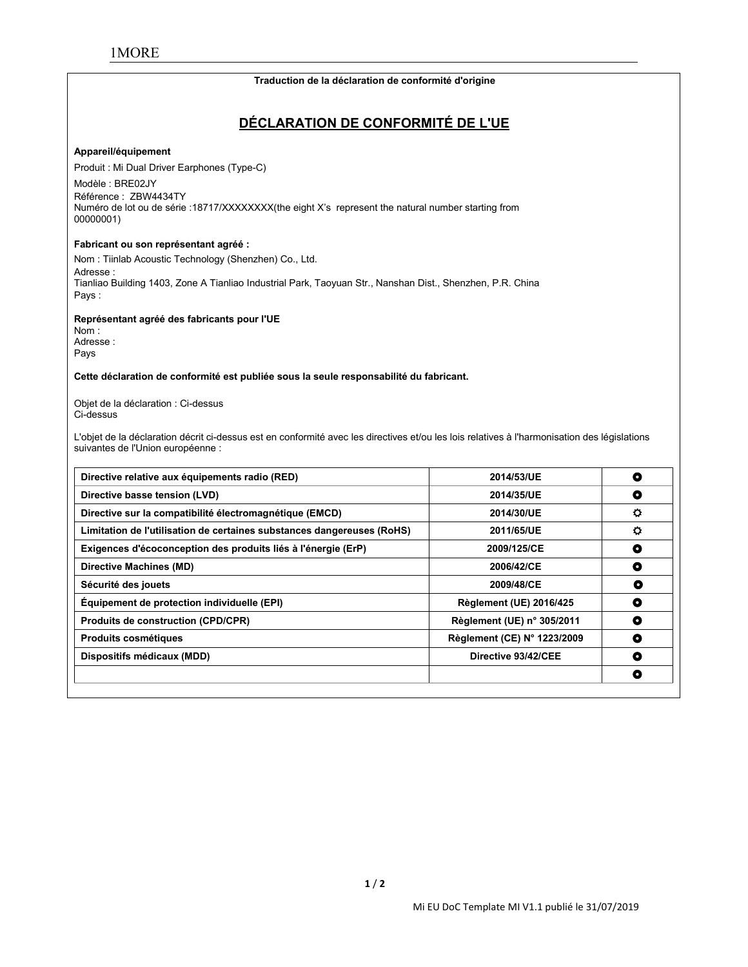#### **Traduction de la déclaration de conformité d'origine**

# **DÉCLARATION DE CONFORMITÉ DE L'UE**

#### **Appareil/équipement**

Produit : Mi Dual Driver Earphones (Type-C)

Modèle : BRE02JY Référence : ZBW4434TY Numéro de lot ou de série :18717/XXXXXXXX(the eight X's represent the natural number starting from 00000001)

#### **Fabricant ou son représentant agréé :**

Nom : Tiinlab Acoustic Technology (Shenzhen) Co., Ltd. Adresse : Tianliao Building 1403, Zone A Tianliao Industrial Park, Taoyuan Str., Nanshan Dist., Shenzhen, P.R. China Pays :

**Représentant agréé des fabricants pour l'UE**

Nom : Adresse : Pays

#### **Cette déclaration de conformité est publiée sous la seule responsabilité du fabricant.**

Objet de la déclaration : Ci-dessus Ci-dessus

L'objet de la déclaration décrit ci-dessus est en conformité avec les directives et/ou les lois relatives à l'harmonisation des législations suivantes de l'Union européenne :

| Directive relative aux équipements radio (RED)                         | 2014/53/UE                     | О       |
|------------------------------------------------------------------------|--------------------------------|---------|
| Directive basse tension (LVD)                                          | 2014/35/UE                     | O       |
| Directive sur la compatibilité électromagnétique (EMCD)                | 2014/30/UE                     | o       |
| Limitation de l'utilisation de certaines substances dangereuses (RoHS) | 2011/65/UE                     | $\circ$ |
| Exigences d'écoconception des produits liés à l'énergie (ErP)          | 2009/125/CE                    | ٥       |
| Directive Machines (MD)                                                | 2006/42/CE                     | O       |
| Sécurité des jouets                                                    | 2009/48/CE                     | o       |
| Équipement de protection individuelle (EPI)                            | <b>Règlement (UE) 2016/425</b> | O       |
| <b>Produits de construction (CPD/CPR)</b>                              | Règlement (UE) n° 305/2011     | ٥       |
| <b>Produits cosmétiques</b>                                            | Règlement (CE) N° 1223/2009    | O       |
| Dispositifs médicaux (MDD)                                             | Directive 93/42/CEE            | ٥       |
|                                                                        |                                | O       |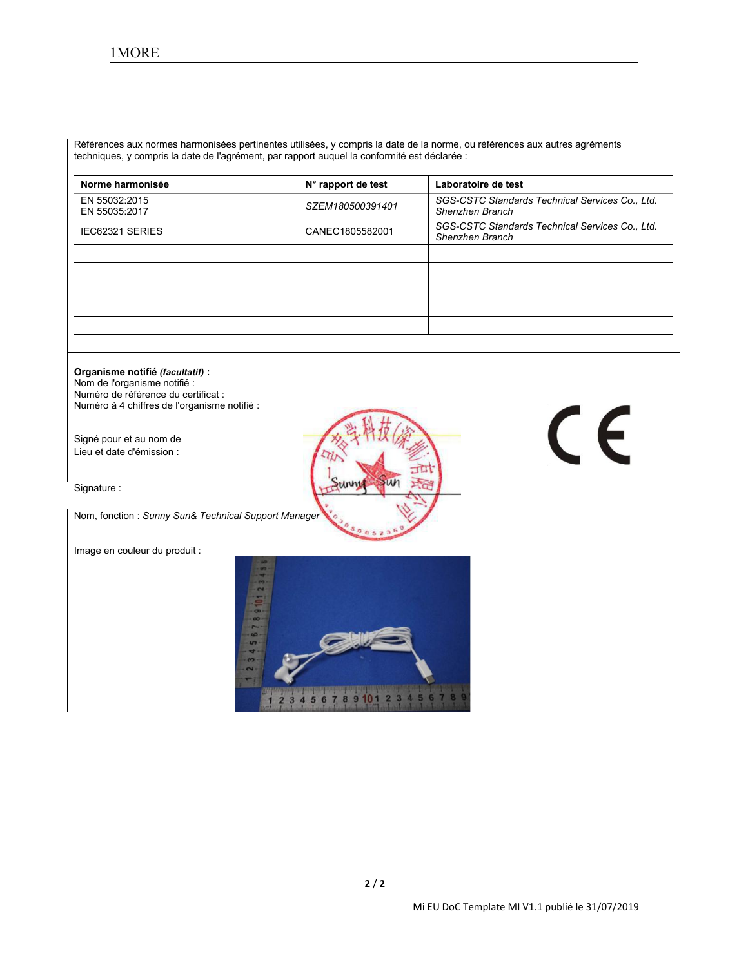Références aux normes harmonisées pertinentes utilisées, y compris la date de la norme, ou références aux autres agréments techniques, y compris la date de l'agrément, par rapport auquel la conformité est déclarée :

| Norme harmonisée               | N° rapport de test | Laboratoire de test                                                |
|--------------------------------|--------------------|--------------------------------------------------------------------|
| EN 55032:2015<br>EN 55035:2017 | SZEM180500391401   | SGS-CSTC Standards Technical Services Co., Ltd.<br>Shenzhen Branch |
| <b>IEC62321 SERIES</b>         | CANEC1805582001    | SGS-CSTC Standards Technical Services Co., Ltd.<br>Shenzhen Branch |
|                                |                    |                                                                    |
|                                |                    |                                                                    |
|                                |                    |                                                                    |
|                                |                    |                                                                    |
|                                |                    |                                                                    |

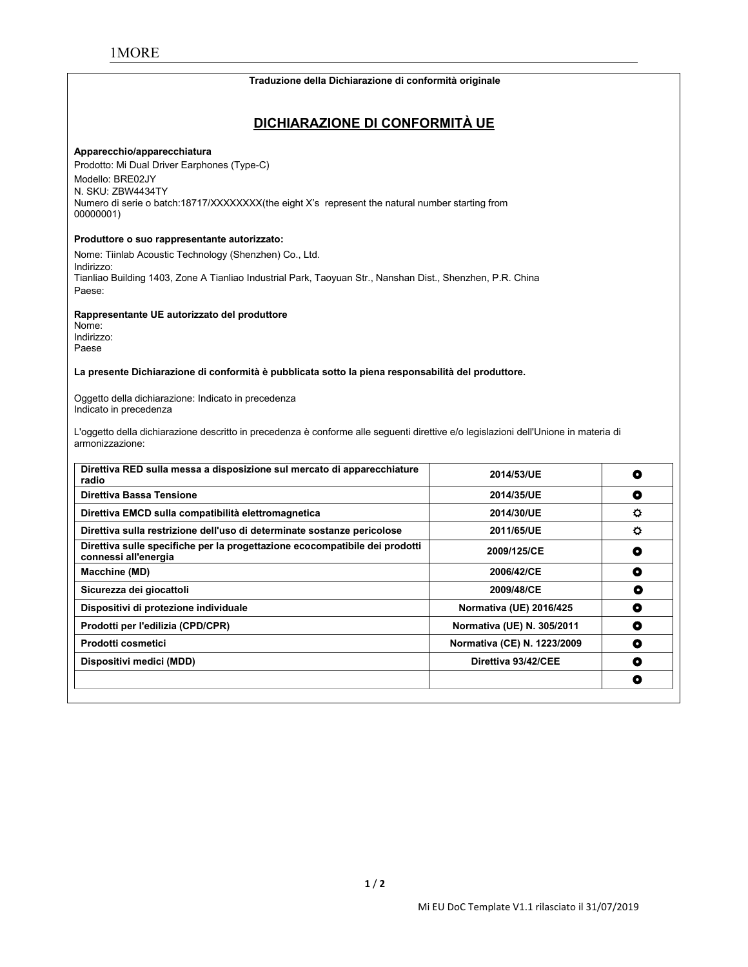#### **Traduzione della Dichiarazione di conformità originale**

## **DICHIARAZIONE DI CONFORMITÀ UE**

#### **Apparecchio/apparecchiatura**

Prodotto: Mi Dual Driver Earphones (Type-C) Modello: BRE02JY N. SKU: ZBW4434TY Numero di serie o batch:18717/XXXXXXXX(the eight X's represent the natural number starting from 00000001)

#### **Produttore o suo rappresentante autorizzato:**

Nome: Tiinlab Acoustic Technology (Shenzhen) Co., Ltd. Indirizzo: Tianliao Building 1403, Zone A Tianliao Industrial Park, Taoyuan Str., Nanshan Dist., Shenzhen, P.R. China Paese:

**Rappresentante UE autorizzato del produttore**

Nome: Indirizzo: Paese

**La presente Dichiarazione di conformità è pubblicata sotto lapiena responsabilità del produttore.**

Oggetto della dichiarazione: Indicato in precedenza Indicato in precedenza

L'oggetto della dichiarazione descritto in precedenza è conforme alle seguenti direttive e/o legislazioni dell'Unione in materia di armonizzazione:

| Direttiva RED sulla messa a disposizione sul mercato di apparecchiature<br>radio                    | 2014/53/UE                  | O |
|-----------------------------------------------------------------------------------------------------|-----------------------------|---|
| Direttiva Bassa Tensione                                                                            | 2014/35/UE                  | O |
| Direttiva EMCD sulla compatibilità elettromagnetica                                                 | 2014/30/UE                  | o |
| Direttiva sulla restrizione dell'uso di determinate sostanze pericolose                             | 2011/65/UE                  | o |
| Direttiva sulle specifiche per la progettazione ecocompatibile dei prodotti<br>connessi all'energia | 2009/125/CE                 | ٥ |
| <b>Macchine (MD)</b>                                                                                | 2006/42/CE                  | ٥ |
| Sicurezza dei giocattoli                                                                            | 2009/48/CE                  | О |
| Dispositivi di protezione individuale                                                               | Normativa (UE) 2016/425     | O |
| Prodotti per l'edilizia (CPD/CPR)                                                                   | Normativa (UE) N. 305/2011  | ۰ |
| Prodotti cosmetici                                                                                  | Normativa (CE) N. 1223/2009 | ۰ |
| Dispositivi medici (MDD)                                                                            | Direttiva 93/42/CEE         | O |
|                                                                                                     |                             | O |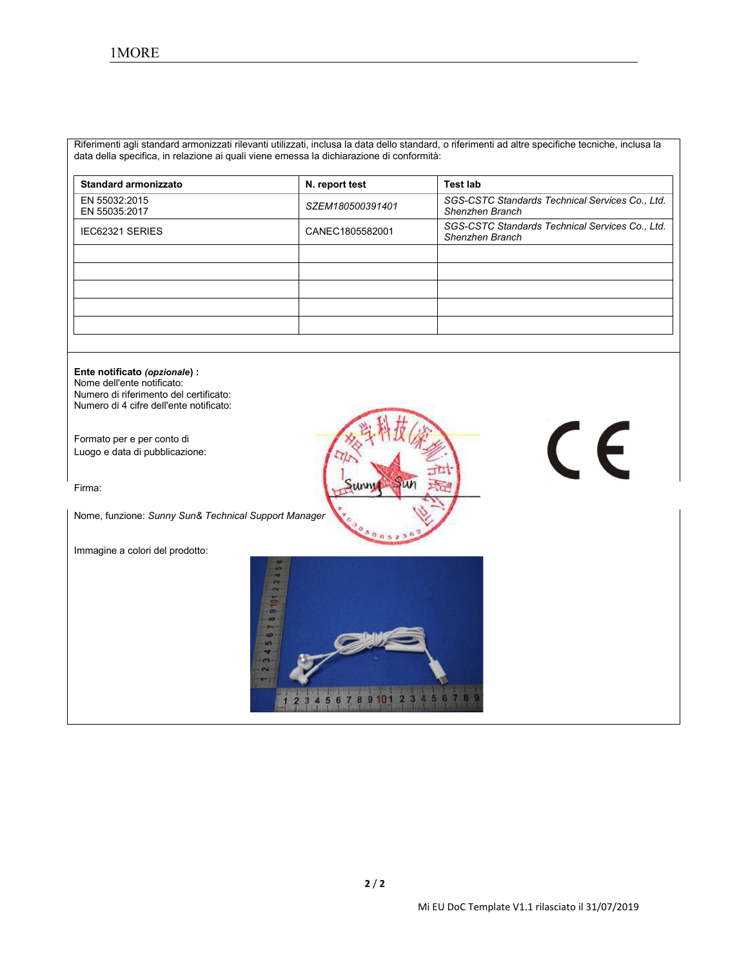Riferimenti agli standard armonizzati rilevanti utilizzati, inclusa la data dello standard, o riferimenti ad altre specifiche tecniche, inclusa la data della specifica, in relazione ai quali viene emessa la dichiarazione di conformità:

| <b>Standard armonizzato</b>    | N. report test   | <b>Test lab</b>                                                    |
|--------------------------------|------------------|--------------------------------------------------------------------|
| EN 55032:2015<br>EN 55035:2017 | SZEM180500391401 | SGS-CSTC Standards Technical Services Co., Ltd.<br>Shenzhen Branch |
| IEC62321 SERIES                | CANEC1805582001  | SGS-CSTC Standards Technical Services Co., Ltd.<br>Shenzhen Branch |
|                                |                  |                                                                    |
|                                |                  |                                                                    |
|                                |                  |                                                                    |
|                                |                  |                                                                    |
|                                |                  |                                                                    |

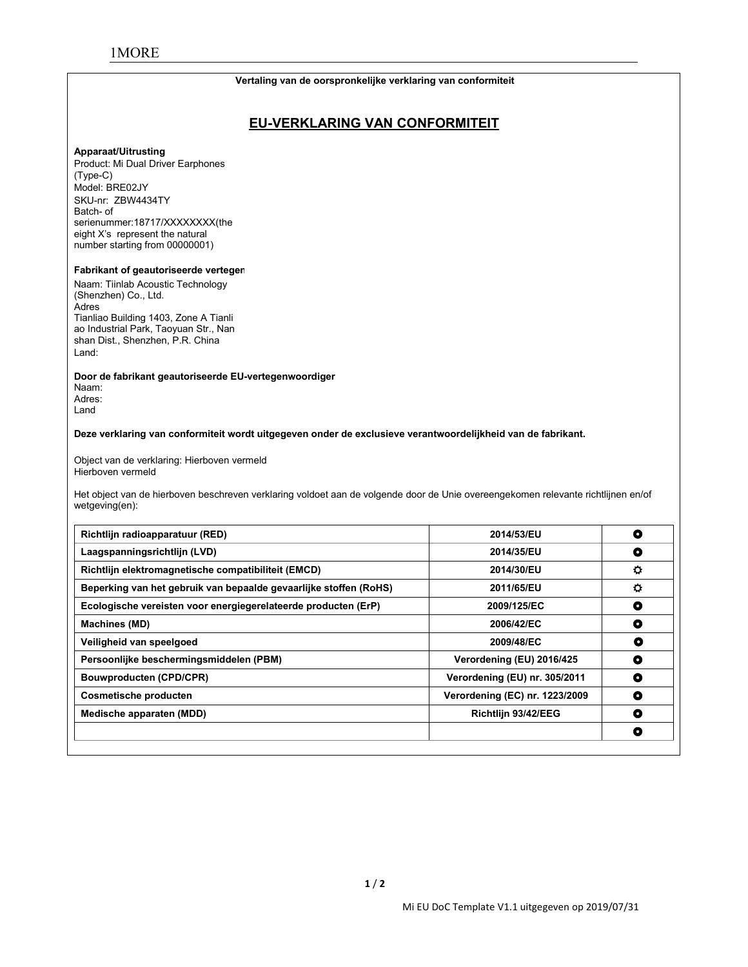#### **Vertaling van de oorspronkelijke verklaring van conformiteit**

# **EU-VERKLARING VAN CONFORMITEIT**

#### **Apparaat/Uitrusting**

Product: Mi Dual Driver Earphones (Type-C) Model: BRE02JY SKU-nr: ZBW4434TY<br>Batch- of serienummer:18717/XXXXXXXX(the eight X's represent the natural number starting from 00000001)

#### **Fabrikant of geautoriseerde verteger**

Naam: Tiinlab Acoustic Technology (Shenzhen) Co., Ltd. Adres Tianliao Building 1403, Zone A Tianli ao Industrial Park, Taoyuan Str., Nan shan Dist., Shenzhen, P.R. China Land:

**Door de fabrikant geautoriseerde EU-vertegenwoordiger** Naam: Adres: Land

**Deze verklaring van conformiteit wordt uitgegeven onder de exclusieve verantwoordelijkheid van de fabrikant.**

Object van de verklaring: Hierboven vermeld Hierboven vermeld

Het object van de hierboven beschreven verklaring voldoet aan de volgende door de Unie overeengekomen relevante richtlijnen en/of wetgeving(en):

| Richtlijn radioapparatuur (RED)                                   | 2014/53/EU                     | O         |
|-------------------------------------------------------------------|--------------------------------|-----------|
| Laagspanningsrichtlijn (LVD)                                      | 2014/35/EU                     | O         |
| Richtlijn elektromagnetische compatibiliteit (EMCD)               | 2014/30/EU                     | $\bullet$ |
| Beperking van het gebruik van bepaalde gevaarlijke stoffen (RoHS) | 2011/65/EU                     | ۰         |
| Ecologische vereisten voor energiegerelateerde producten (ErP)    | 2009/125/EC                    | ٥         |
| <b>Machines (MD)</b>                                              | 2006/42/EC                     | O         |
| Veiligheid van speelgoed                                          | 2009/48/EC                     | O         |
| Persoonlijke beschermingsmiddelen (PBM)                           | Verordening (EU) 2016/425      | O         |
| <b>Bouwproducten (CPD/CPR)</b>                                    | Verordening (EU) nr. 305/2011  | O         |
| Cosmetische producten                                             | Verordening (EC) nr. 1223/2009 | O         |
| Medische apparaten (MDD)                                          | Richtlijn 93/42/EEG            | O         |
|                                                                   |                                | O         |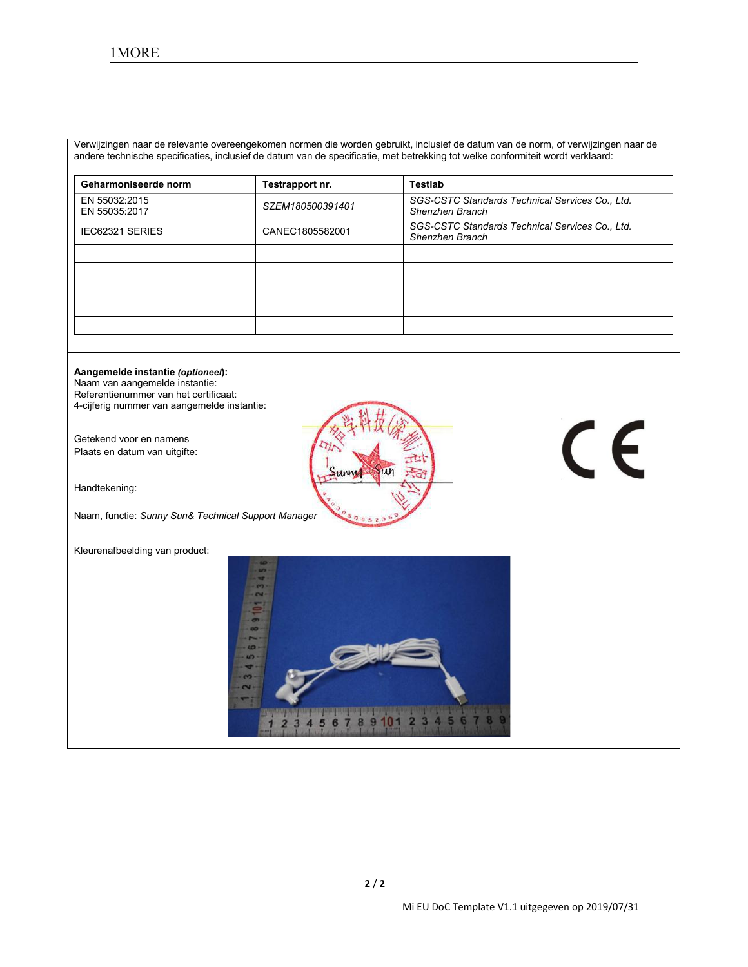Verwijzingen naar de relevante overeengekomen normen die worden gebruikt, inclusief de datum van de norm, ofverwijzingen naar de andere technische specificaties, inclusief de datum van de specificatie, met betrekking tot welke conformiteitwordt verklaard:

| Geharmoniseerde norm           | Testrapport nr.  | <b>Testlab</b>                                                     |
|--------------------------------|------------------|--------------------------------------------------------------------|
| EN 55032:2015<br>EN 55035:2017 | SZEM180500391401 | SGS-CSTC Standards Technical Services Co., Ltd.<br>Shenzhen Branch |
| IEC62321 SERIES                | CANEC1805582001  | SGS-CSTC Standards Technical Services Co., Ltd.<br>Shenzhen Branch |
|                                |                  |                                                                    |
|                                |                  |                                                                    |
|                                |                  |                                                                    |
|                                |                  |                                                                    |
|                                |                  |                                                                    |

#### **Aangemelde instantie** *(optioneel***):**

Naam van aangemelde instantie: Referentienummer van het certificaat: 4-cijferig nummer van aangemelde instantie:

Getekend voor en namens Plaats en datum van uitgifte:

Handtekening:

Naam, functie: *Sunny Sun& Technical Support Manager*

Kleurenafbeelding van product:



# CE

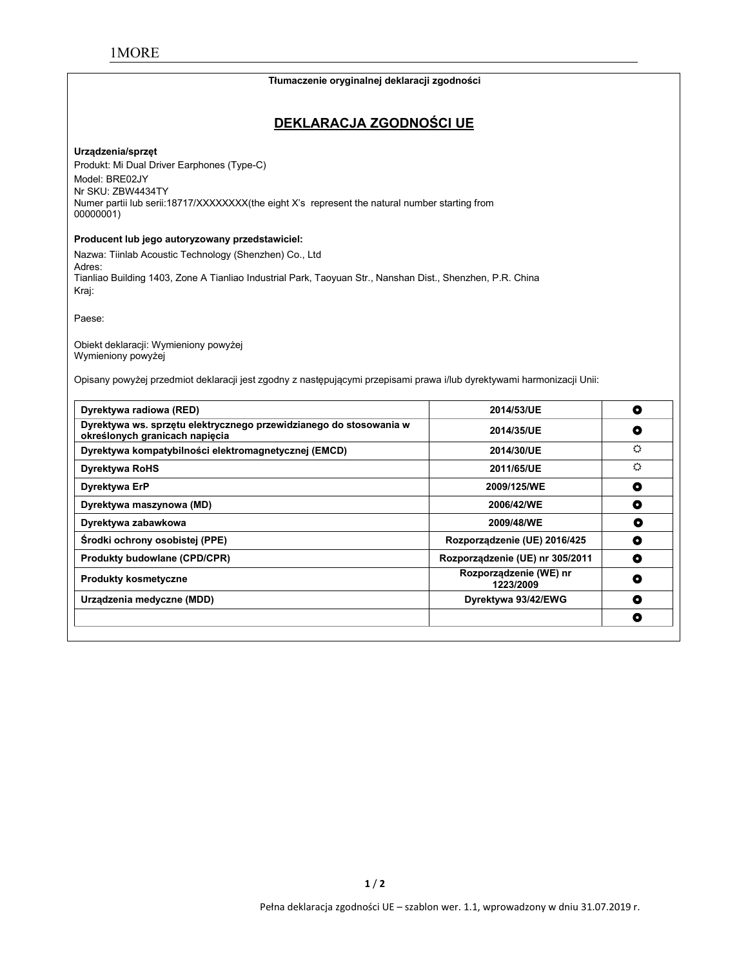# **Tłumaczenie oryginalnej deklaracji zgodności DEKLARACJA ZGODNOŚCI UE Urządzenia/sprzęt** Produkt: Mi Dual Driver Earphones (Type-C) Model: BRE02JY Nr SKU: ZBW4434TY Numer partii lub serii:18717/XXXXXXX(the eight X's represent the natural number starting from 00000001) **Producent lub jego autoryzowany przedstawiciel:** Nazwa: Tiinlab Acoustic Technology (Shenzhen) Co., Ltd Adres: Tianliao Building 1403, Zone A Tianliao Industrial Park, Taoyuan Str., Nanshan Dist., Shenzhen, P.R. China Kraj: Paese: Obiekt deklaracji: Wymieniony powyżej Wymieniony powyżej Opisany powyżej przedmiot deklaracji jest zgodny z następującymi przepisami prawa i/lub dyrektywami harmonizacji Unii: **Dyrektywa radiowa (RED) 2014/53/UE Dyrektywa ws. sprzętu elektrycznego przewidzianego do stosowania w określonych granicach napięcia 2014/35/UE Dyrektywa kompatybilności elektromagnetycznej (EMCD) 2014/30/UE Dyrektywa RoHS 2011/65/UE Dyrektywa ErP 2009/125/WE Dyrektywa maszynowa (MD) 2006/42/WE Dyrektywa zabawkowa 2009/48/WE Środki ochrony osobistej (PPE) Rozporządzenie (UE) 2016/425 Produkty budowlane (CPD/CPR) Rozporządzenie (UE) nr** 305/2011 **O Produkty kosmetyczne Rozporządzenie (WE) nr 1223/2009 Urządzenia medyczne (MDD) Dyrektywa 93/42/EWG**  $\bullet$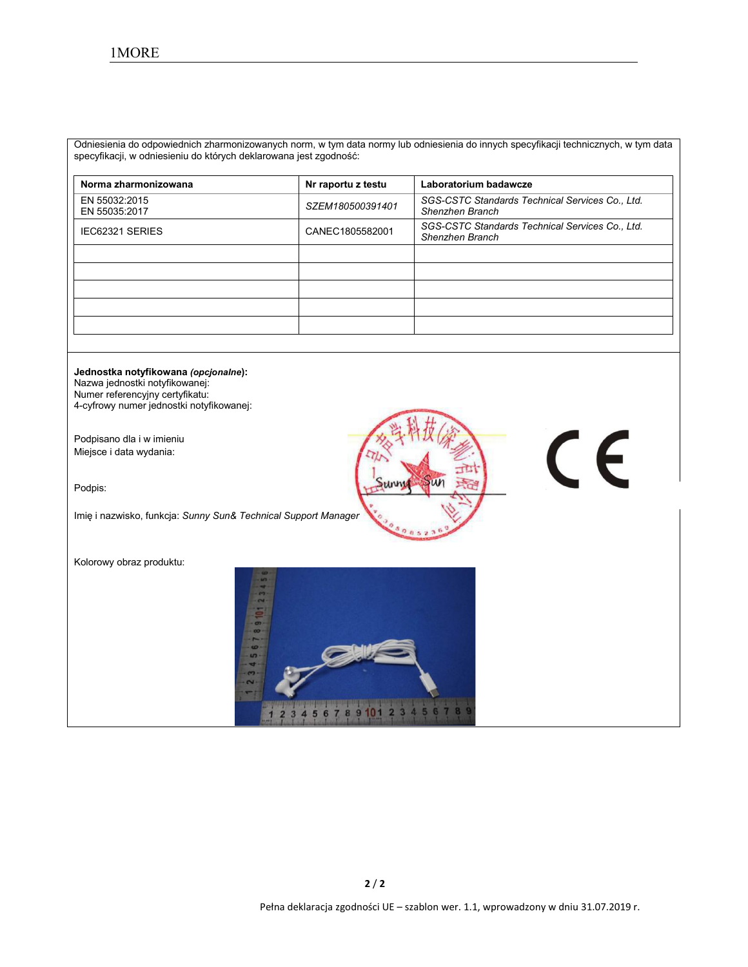Odniesienia do odpowiednich zharmonizowanych norm, w tym data normy lub odniesienia do innych specyfikacji technicznych, w tym data specyfikacji, w odniesieniu do których deklarowana jest zgodność:

| Norma zharmonizowana           | Nr raportu z testu | Laboratorium badawcze                                              |
|--------------------------------|--------------------|--------------------------------------------------------------------|
| EN 55032:2015<br>EN 55035:2017 | SZEM180500391401   | SGS-CSTC Standards Technical Services Co., Ltd.<br>Shenzhen Branch |
| <b>IEC62321 SERIES</b>         | CANEC1805582001    | SGS-CSTC Standards Technical Services Co., Ltd.<br>Shenzhen Branch |
|                                |                    |                                                                    |
|                                |                    |                                                                    |
|                                |                    |                                                                    |
|                                |                    |                                                                    |
|                                |                    |                                                                    |

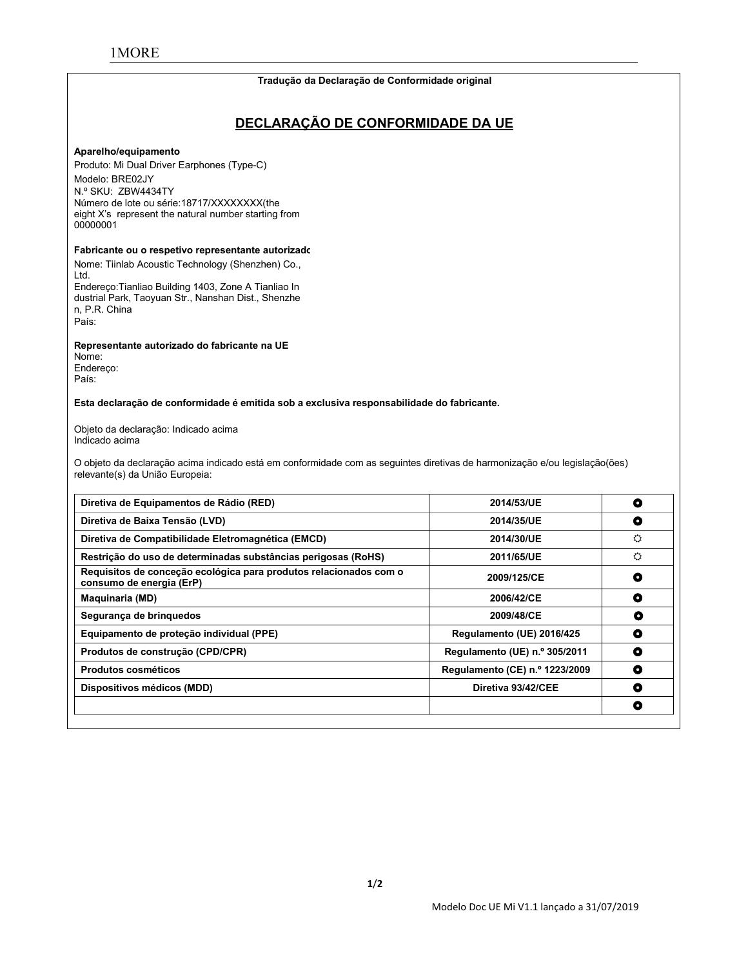#### **Tradução da Declaração de Conformidade original**

# **DECLARAÇÃO DE CONFORMIDADE DA UE**

#### **Aparelho/equipamento**

Produto: Mi Dual Driver Earphones (Type-C) Modelo: BRE02JY N.º SKU: ZBW4434TY Número de lote ou série:18717/XXXXXXXX(the eight X's represent the natural number starting from 00000001

#### **Fabricante ou o respetivo representante autorizado:**

Nome: Tiinlab Acoustic Technology (Shenzhen) Co., Ltd. Endereço:Tianliao Building 1403, Zone A Tianliao In dustrial Park, Taoyuan Str., Nanshan Dist., Shenzhe

n, P.R. China País:

**Representante autorizado do fabricante na UE**

Nome: Endereço: País:

**Esta declaração de conformidade é emitida sob a exclusiva responsabilidade do fabricante.**

Objeto da declaração: Indicado acima Indicado acima

O objeto da declaração acima indicado está em conformidade com as seguintes diretivas de harmonização e/ou legislação(ões) relevante(s) da União Europeia:

| Diretiva de Equipamentos de Rádio (RED)                                                       | 2014/53/UE                     | O |
|-----------------------------------------------------------------------------------------------|--------------------------------|---|
| Diretiva de Baixa Tensão (LVD)                                                                | 2014/35/UE                     | O |
| Diretiva de Compatibilidade Eletromagnética (EMCD)                                            | 2014/30/UE                     | ٥ |
| Restrição do uso de determinadas substâncias perigosas (RoHS)                                 | 2011/65/UE                     | ♦ |
| Requisitos de conceção ecológica para produtos relacionados com o<br>consumo de energia (ErP) | 2009/125/CE                    | O |
| <b>Maquinaria (MD)</b>                                                                        | 2006/42/CE                     | O |
| Segurança de bringuedos                                                                       | 2009/48/CE                     | O |
| Equipamento de proteção individual (PPE)                                                      | Regulamento (UE) 2016/425      | ۰ |
| Produtos de construção (CPD/CPR)                                                              | Regulamento (UE) n.º 305/2011  | ۰ |
| <b>Produtos cosméticos</b>                                                                    | Regulamento (CE) n.º 1223/2009 | O |
| Dispositivos médicos (MDD)                                                                    | Diretiva 93/42/CEE             | O |
|                                                                                               |                                | O |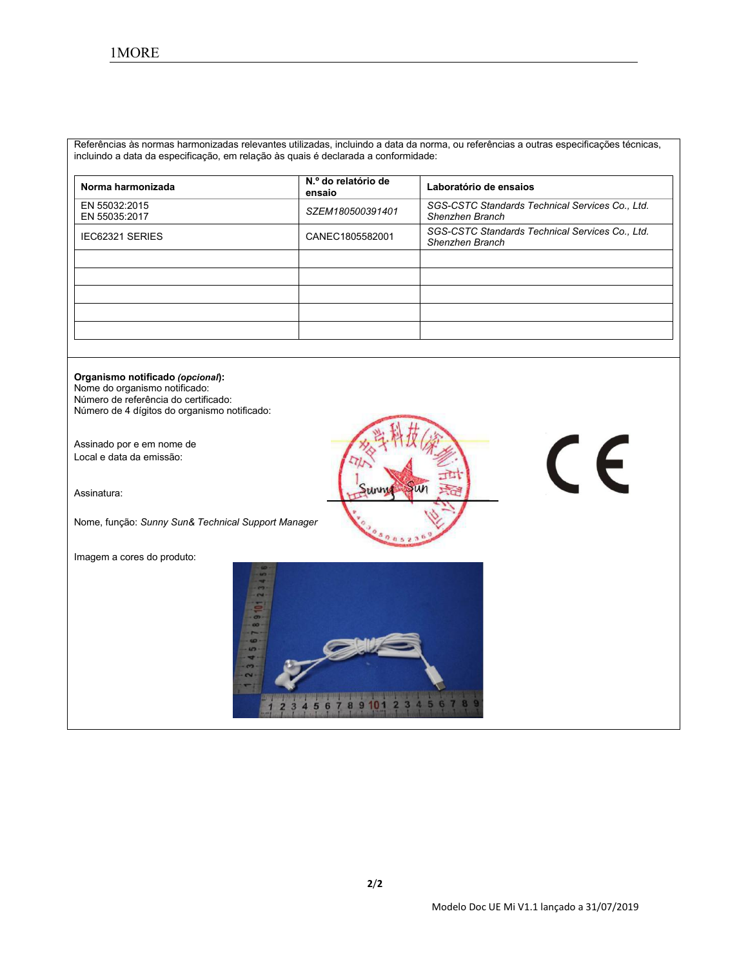Referências às normas harmonizadas relevantes utilizadas, incluindo a data da norma, ou referências a outras especificações técnicas, incluindo a data da especificação, em relação às quais é declarada a conformidade:

| Norma harmonizada              | N.º do relatório de<br>ensaio | Laboratório de ensaios                                             |
|--------------------------------|-------------------------------|--------------------------------------------------------------------|
| EN 55032:2015<br>EN 55035:2017 | SZEM180500391401              | SGS-CSTC Standards Technical Services Co., Ltd.<br>Shenzhen Branch |
| IEC62321 SERIES                | CANEC1805582001               | SGS-CSTC Standards Technical Services Co., Ltd.<br>Shenzhen Branch |
|                                |                               |                                                                    |
|                                |                               |                                                                    |
|                                |                               |                                                                    |
|                                |                               |                                                                    |
|                                |                               |                                                                    |

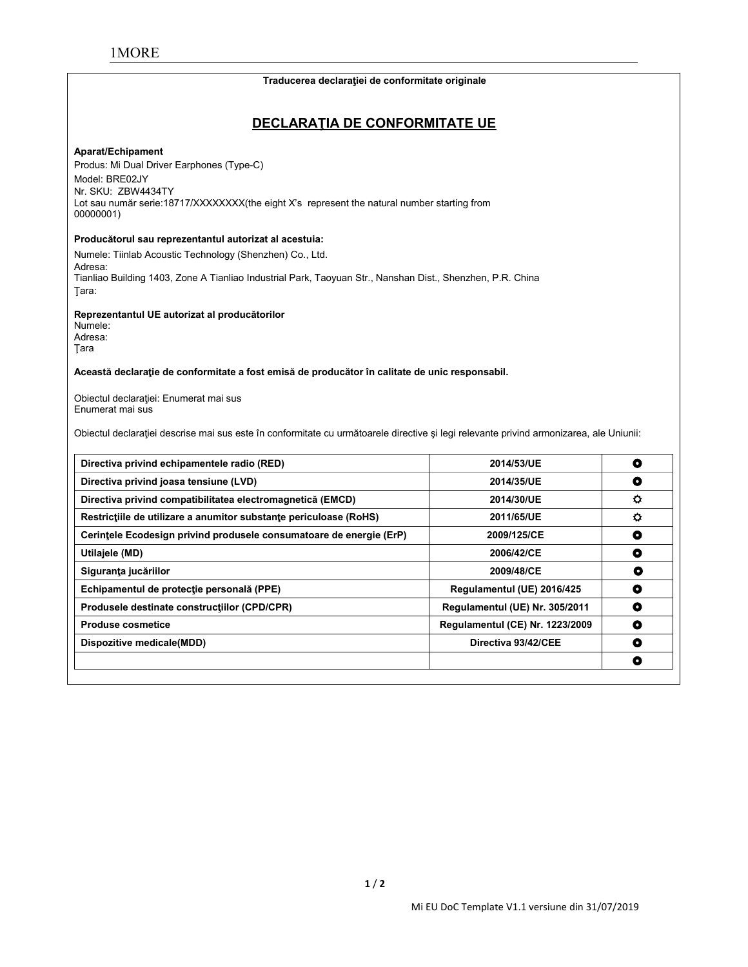#### **Traducerea declaraţiei de conformitate originale**

# **DECLARAŢIA DE CONFORMITATE UE**

#### **Aparat/Echipament**

Produs: Mi Dual Driver Earphones (Type-C) Model: BRE02JY Nr. SKU: ZBW4434TY Lot sau număr serie:18717/XXXXXXX(the eight X's represent the natural number starting from 00000001)

#### **Producătorul sau reprezentantul autorizat al acestuia:**

Numele: Tiinlab Acoustic Technology (Shenzhen) Co., Ltd. Adresa: Tianliao Building 1403, Zone A Tianliao Industrial Park, Taoyuan Str., Nanshan Dist., Shenzhen, P.R. China Ţara:

**Reprezentantul UE autorizat al producătorilor**

Numele: Adresa: Ţara

**Această declaraţie de conformitate a fost emisă de producător în calitate de unic responsabil.**

Obiectul declaraţiei: Enumerat mai sus Enumerat mai sus

Obiectul declaraţiei descrise mai sus este în conformitate cu următoarele directive şi legi relevante privind armonizarea, ale Uniunii:

| Directiva privind echipamentele radio (RED)                         | 2014/53/UE                      | ۰         |
|---------------------------------------------------------------------|---------------------------------|-----------|
| Directiva privind joasa tensiune (LVD)                              | 2014/35/UE                      | ۰         |
| Directiva privind compatibilitatea electromagnetică (EMCD)          | 2014/30/UE                      | ٥         |
| Restrictiile de utilizare a anumitor substante periculoase (RoHS)   | 2011/65/UE                      | o         |
| Cerintele Ecodesign privind produsele consumatoare de energie (ErP) | 2009/125/CE                     | ۰         |
| Utilajele (MD)                                                      | 2006/42/CE                      | O         |
| Siguranța jucăriilor                                                | 2009/48/CE                      | O         |
| Echipamentul de protecție personală (PPE)                           | Regulamentul (UE) 2016/425      | O         |
| Produsele destinate constructiilor (CPD/CPR)                        | Regulamentul (UE) Nr. 305/2011  | ۰         |
| <b>Produse cosmetice</b>                                            | Regulamentul (CE) Nr. 1223/2009 | $\bullet$ |
| Dispozitive medicale(MDD)                                           | Directiva 93/42/CEE             | ٥         |
|                                                                     |                                 | 0         |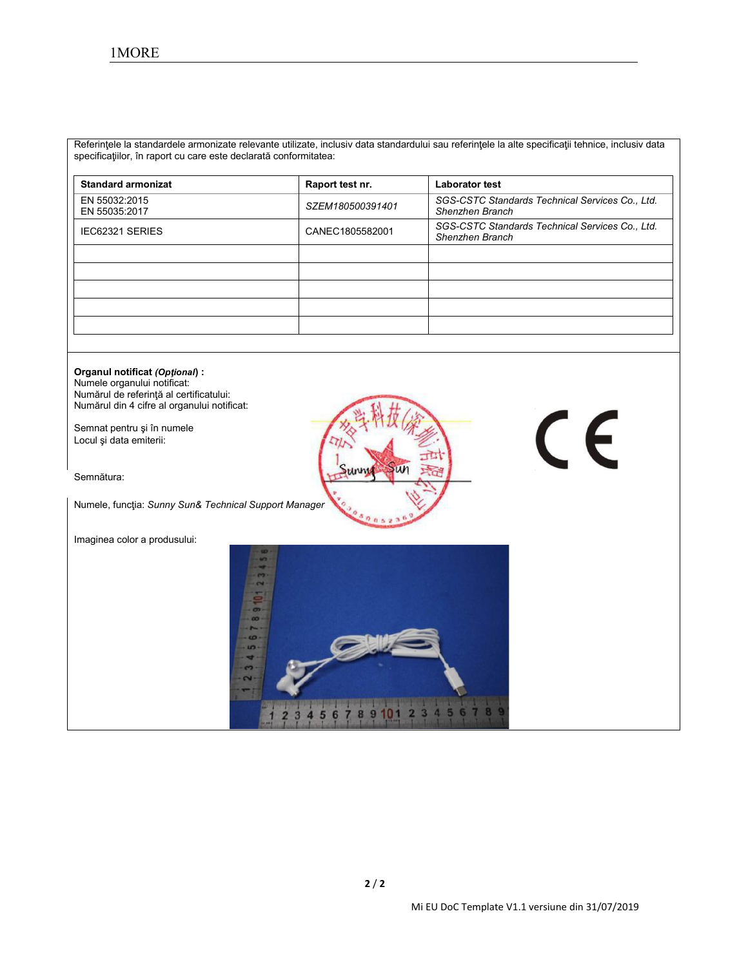Referinţele la standardele armonizate relevante utilizate, inclusiv data standardului sau referinţele la alte specificaţii tehnice, inclusiv data specificaţiilor, în raport cu care este declarată conformitatea:

| <b>Standard armonizat</b>      | Raport test nr.  | <b>Laborator test</b>                                              |
|--------------------------------|------------------|--------------------------------------------------------------------|
| EN 55032:2015<br>EN 55035:2017 | SZEM180500391401 | SGS-CSTC Standards Technical Services Co., Ltd.<br>Shenzhen Branch |
| IEC62321 SERIES                | CANEC1805582001  | SGS-CSTC Standards Technical Services Co., Ltd.<br>Shenzhen Branch |
|                                |                  |                                                                    |
|                                |                  |                                                                    |
|                                |                  |                                                                    |
|                                |                  |                                                                    |
|                                |                  |                                                                    |

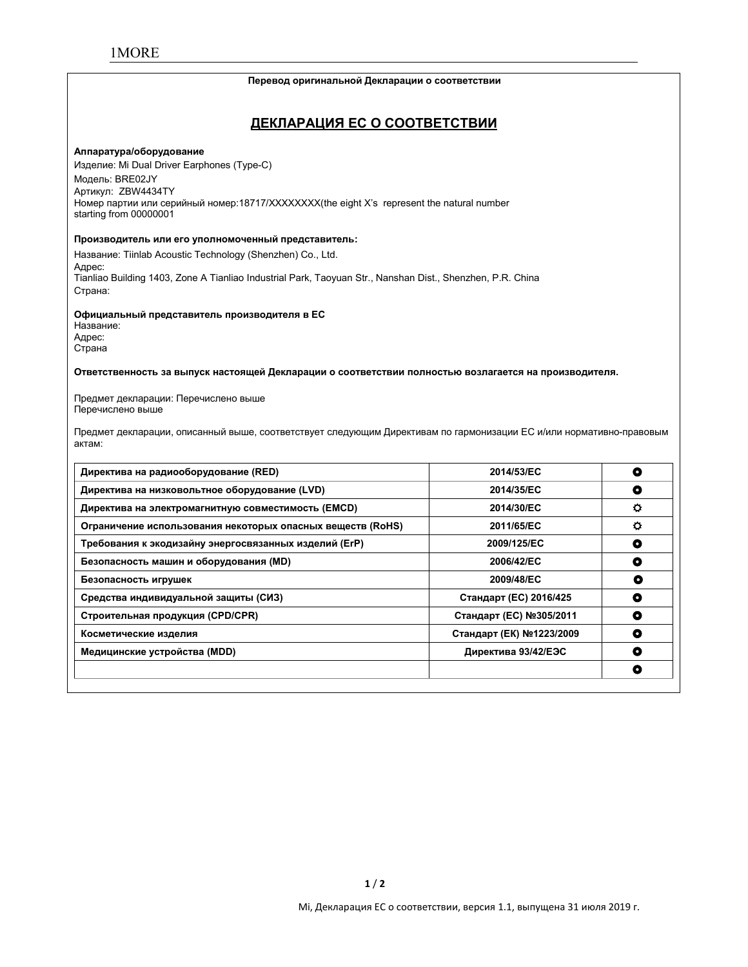#### **Перевод оригинальной Декларации о соответствии**

# **ДЕКЛАРАЦИЯ ЕС О СООТВЕТСТВИИ**

#### **Аппаратура/оборудование**

Изделие: Mi Dual Driver Earphones (Type-C) Модель: BRE02JY Артикул: ZBW4434TY Номер партии или серийный номер:18717/XXXXXXXX(the eight X's represent the natural number starting from 00000001

#### **Производитель или его уполномоченный представитель:**

Название: Tiinlab Acoustic Technology (Shenzhen) Co., Ltd. Адрес: Tianliao Building 1403, Zone A Tianliao Industrial Park, Taoyuan Str., Nanshan Dist., Shenzhen, P.R. China Страна:

#### **Официальный представитель производителя в ЕС**

Название: Адрес: Страна

**Ответственность за выпуск настоящей Декларации о соответствии полностью возлагается на производителя.**

Предмет декларации: Перечислено выше Перечислено выше

Предмет декларации, описанный выше, соответствует следующим Директивам по гармонизации ЕС и/или нормативно-правовым актам:

| Директива на радиооборудование (RED)                       | 2014/53/EC               | O |
|------------------------------------------------------------|--------------------------|---|
| Директива на низковольтное оборудование (LVD)              | 2014/35/EC               | O |
| Директива на электромагнитную совместимость (EMCD)         | 2014/30/EC               | ٥ |
| Ограничение использования некоторых опасных веществ (RoHS) | 2011/65/EC               | o |
| Требования к экодизайну энергосвязанных изделий (ErP)      | 2009/125/EC              | O |
| Безопасность машин и оборудования (MD)                     | 2006/42/EC               | O |
| Безопасность игрушек                                       | 2009/48/EC               | O |
| Средства индивидуальной защиты (СИЗ)                       | Стандарт (ЕС) 2016/425   | ۰ |
| Строительная продукция (CPD/CPR)                           | Стандарт (ЕС) №305/2011  | O |
| Косметические изделия                                      | Стандарт (ЕК) №1223/2009 | ۰ |
| Медицинские устройства (MDD)                               | Директива 93/42/ЕЭС      | ٥ |
|                                                            |                          | O |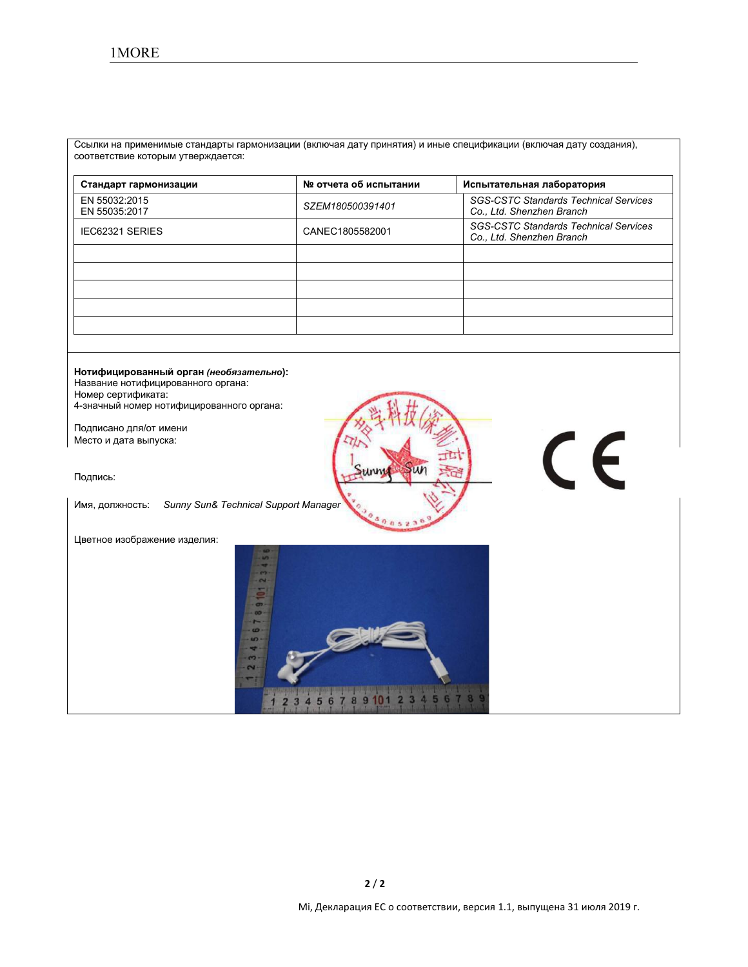Ссылки на применимые стандарты гармонизации (включая дату принятия) и иные спецификации (включая дату создания), соответствие которым утверждается:

| Стандарт гармонизации          | № отчета об испытании | Испытательная лаборатория                                                 |
|--------------------------------|-----------------------|---------------------------------------------------------------------------|
| EN 55032:2015<br>EN 55035:2017 | SZEM180500391401      | <b>SGS-CSTC Standards Technical Services</b><br>Co., Ltd. Shenzhen Branch |
| <b>IEC62321 SERIES</b>         | CANEC1805582001       | <b>SGS-CSTC Standards Technical Services</b><br>Co., Ltd. Shenzhen Branch |
|                                |                       |                                                                           |
|                                |                       |                                                                           |
|                                |                       |                                                                           |
|                                |                       |                                                                           |
|                                |                       |                                                                           |

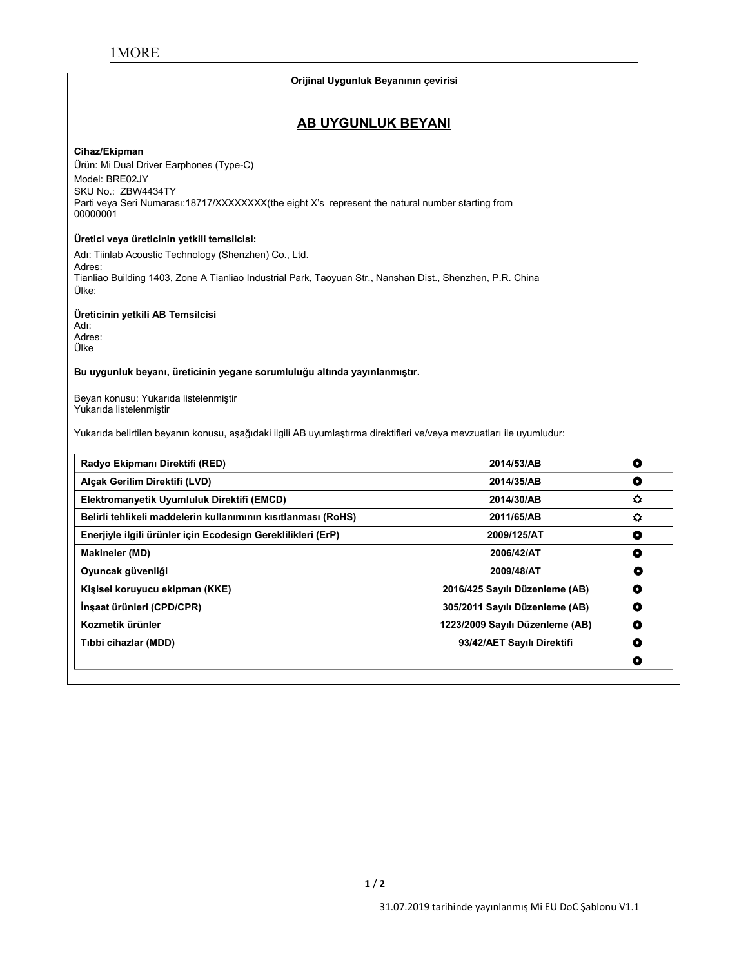#### **Orijinal Uygunluk Beyanının çevirisi**

# **AB UYGUNLUK BEYANI**

#### **Cihaz/Ekipman**

Ürün: Mi Dual Driver Earphones (Type-C) Model: BRE02JY SKU No.: ZBW4434TY Parti veya Seri Numarası:18717/XXXXXXX(the eight X's represent the natural number starting from 00000001

#### **Üretici veya üreticinin yetkili temsilcisi:**

Adı: Tiinlab Acoustic Technology (Shenzhen) Co., Ltd. Adres: Tianliao Building 1403, Zone A Tianliao Industrial Park, Taoyuan Str., Nanshan Dist., Shenzhen, P.R. China Ülke:

**Üreticinin yetkili AB Temsilcisi**

Adı: Adres: Ülke

**Bu uygunluk beyanı, üreticinin yegane sorumluluğu altında yayınlanmıştır.**

Beyan konusu: Yukarıda listelenmiştir Yukarıda listelenmiştir

Yukarıda belirtilen beyanın konusu, aşağıdaki ilgili AB uyumlaştırma direktifleri ve/veya mevzuatları ile uyumludur:

| Radyo Ekipmanı Direktifi (RED)                                | 2014/53/AB                      | $\bullet$ |
|---------------------------------------------------------------|---------------------------------|-----------|
| Alcak Gerilim Direktifi (LVD)                                 | 2014/35/AB                      | O         |
| Elektromanyetik Uyumluluk Direktifi (EMCD)                    | 2014/30/AB                      | ۰         |
| Belirli tehlikeli maddelerin kullanımının kısıtlanması (RoHS) | 2011/65/AB                      | $\circ$   |
| Enerjiyle ilgili ürünler için Ecodesign Gereklilikleri (ErP)  | 2009/125/AT                     | O         |
| <b>Makineler (MD)</b>                                         | 2006/42/AT                      | ٥         |
| Oyuncak güvenliği                                             | 2009/48/AT                      | O         |
| Kişisel koruyucu ekipman (KKE)                                | 2016/425 Sayılı Düzenleme (AB)  | O         |
| İnşaat ürünleri (CPD/CPR)                                     | 305/2011 Sayılı Düzenleme (AB)  | O         |
| Kozmetik ürünler                                              | 1223/2009 Sayılı Düzenleme (AB) | O         |
| Tibbi cihazlar (MDD)                                          | 93/42/AET Sayılı Direktifi      | O         |
|                                                               |                                 | ۰         |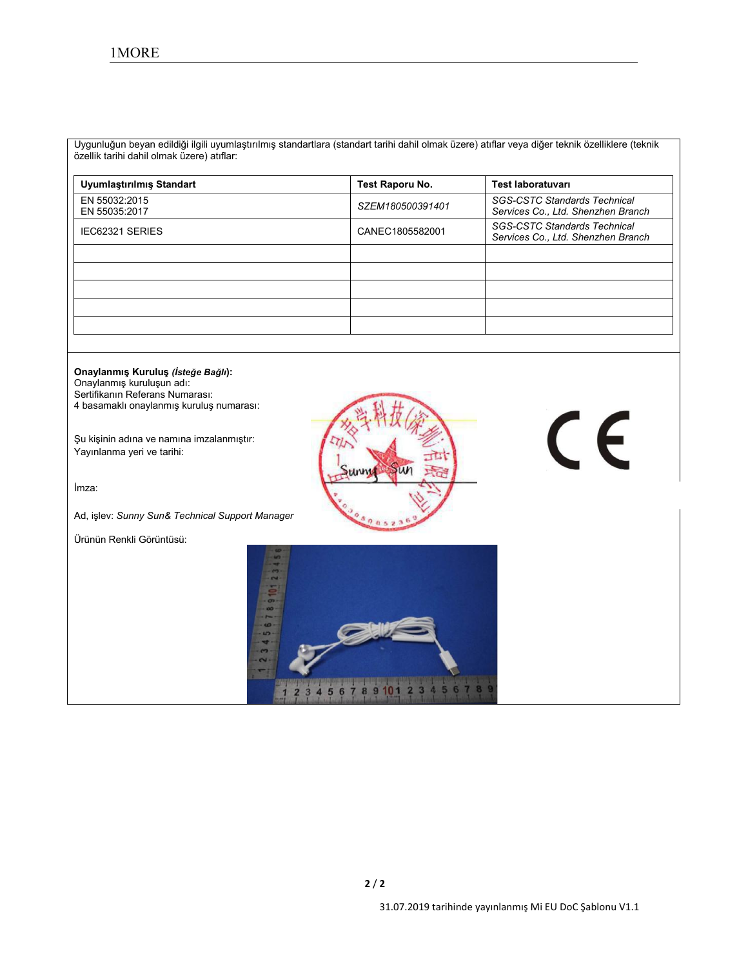Uygunluğun beyan edildiğiilgili uyumlaştırılmış standartlara (standart tarihi dahil olmak üzere) atıflar veya diğer teknik özelliklere (teknik özellik tarihi dahil olmak üzere) atıflar:

| Uyumlaştırılmış Standart       | Test Raporu No.  | Test laboratuvarı                                                         |
|--------------------------------|------------------|---------------------------------------------------------------------------|
| EN 55032:2015<br>EN 55035:2017 | SZEM180500391401 | <b>SGS-CSTC Standards Technical</b><br>Services Co., Ltd. Shenzhen Branch |
| IEC62321 SERIES                | CANEC1805582001  | <b>SGS-CSTC Standards Technical</b><br>Services Co., Ltd. Shenzhen Branch |
|                                |                  |                                                                           |
|                                |                  |                                                                           |
|                                |                  |                                                                           |
|                                |                  |                                                                           |
|                                |                  |                                                                           |

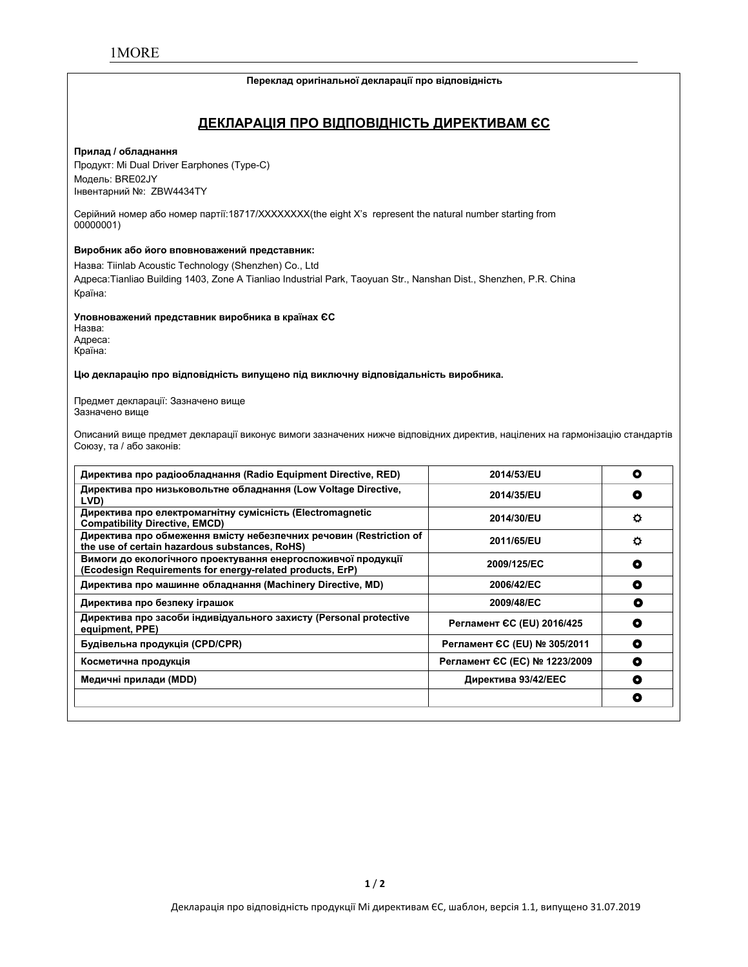#### **Переклад оригінальної декларації про відповідність**

# **ДЕКЛАРАЦІЯ ПРО ВІДПОВІДНІСТЬ ДИРЕКТИВАМ ЄС**

#### **Прилад / обладнання**

Продукт: Mi Dual Driver Earphones (Type-C) Модель: BRE02JY Інвентарний №: ZBW4434TY

Серійний номер або номер партії:18717/XXXXXXXX(the eight X's represent the natural number starting from 00000001)

#### **Виробник або його вповноважений представник:**

Назва: Tiinlab Acoustic Technology (Shenzhen) Co., Ltd Адреса:Tianliao Building 1403, Zone A Tianliao Industrial Park, Taoyuan Str., Nanshan Dist., Shenzhen, P.R. China Країна:

**Уповноважений представник виробника в країнах ЄС**

Назва: Адреса: Країна:

#### **Цю декларацію про відповідність випущено під виключну відповідальність виробника.**

Предмет декларації: Зазначено вище Зазначено вище

Описаний вище предмет декларації виконує вимоги зазначених нижче відповідних директив, націлених на гармонізацію стандартів Союзу, та / або законів:

| Директива про радіообладнання (Radio Equipment Directive, RED)                                                             | 2014/53/EU                    | O |
|----------------------------------------------------------------------------------------------------------------------------|-------------------------------|---|
| Директива про низьковольтне обладнання (Low Voltage Directive,<br>LVD)                                                     | 2014/35/EU                    | O |
| Директива про електромагнітну сумісність (Electromagnetic<br><b>Compatibility Directive, EMCD)</b>                         | 2014/30/EU                    | o |
| Директива про обмеження вмісту небезпечних речовин (Restriction of<br>the use of certain hazardous substances, RoHS)       | 2011/65/EU                    | o |
| Вимоги до екологічного проектування енергоспоживчої продукції<br>(Ecodesign Requirements for energy-related products, ErP) | 2009/125/EC                   | ۰ |
| Директива про машинне обладнання (Machinery Directive, MD)                                                                 | 2006/42/EC                    | ٥ |
| Директива про безпеку іграшок                                                                                              | 2009/48/EC                    | О |
| Директива про засоби індивідуального захисту (Personal protective<br>equipment, PPE)                                       | Регламент СС (EU) 2016/425    | O |
| Будівельна продукція (CPD/CPR)                                                                                             | Регламент ЄС (EU) № 305/2011  | ٥ |
| Косметична продукція                                                                                                       | Регламент ЄС (ЕС) № 1223/2009 | ٥ |
| Медичні прилади (MDD)                                                                                                      | Директива 93/42/ЕЕС           | ۰ |
|                                                                                                                            |                               | O |